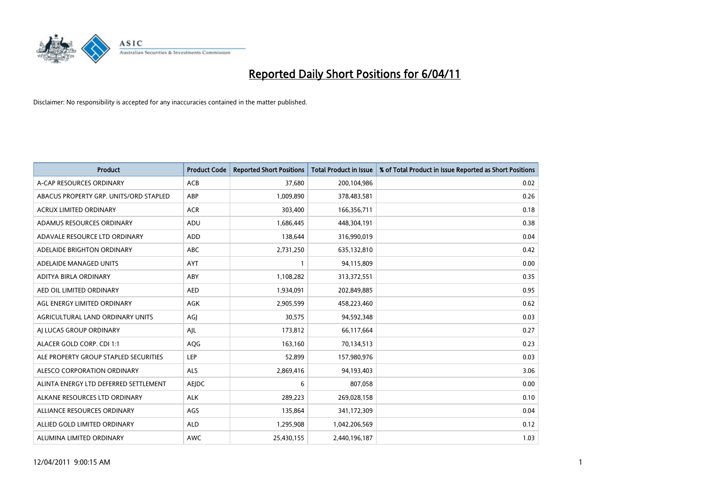

| <b>Product</b>                         | <b>Product Code</b> | <b>Reported Short Positions</b> | Total Product in Issue | % of Total Product in Issue Reported as Short Positions |
|----------------------------------------|---------------------|---------------------------------|------------------------|---------------------------------------------------------|
| A-CAP RESOURCES ORDINARY               | ACB                 | 37,680                          | 200,104,986            | 0.02                                                    |
| ABACUS PROPERTY GRP. UNITS/ORD STAPLED | ABP                 | 1,009,890                       | 378,483,581            | 0.26                                                    |
| <b>ACRUX LIMITED ORDINARY</b>          | <b>ACR</b>          | 303,400                         | 166,356,711            | 0.18                                                    |
| ADAMUS RESOURCES ORDINARY              | ADU                 | 1,686,445                       | 448,304,191            | 0.38                                                    |
| ADAVALE RESOURCE LTD ORDINARY          | <b>ADD</b>          | 138.644                         | 316,990,019            | 0.04                                                    |
| ADELAIDE BRIGHTON ORDINARY             | <b>ABC</b>          | 2,731,250                       | 635,132,810            | 0.42                                                    |
| ADELAIDE MANAGED UNITS                 | <b>AYT</b>          |                                 | 94,115,809             | 0.00                                                    |
| ADITYA BIRLA ORDINARY                  | ABY                 | 1,108,282                       | 313,372,551            | 0.35                                                    |
| AED OIL LIMITED ORDINARY               | <b>AED</b>          | 1,934,091                       | 202,849,885            | 0.95                                                    |
| AGL ENERGY LIMITED ORDINARY            | <b>AGK</b>          | 2,905,599                       | 458,223,460            | 0.62                                                    |
| AGRICULTURAL LAND ORDINARY UNITS       | AGJ                 | 30,575                          | 94,592,348             | 0.03                                                    |
| AI LUCAS GROUP ORDINARY                | AJL                 | 173,812                         | 66,117,664             | 0.27                                                    |
| ALACER GOLD CORP. CDI 1:1              | AQG                 | 163,160                         | 70,134,513             | 0.23                                                    |
| ALE PROPERTY GROUP STAPLED SECURITIES  | LEP                 | 52,899                          | 157,980,976            | 0.03                                                    |
| ALESCO CORPORATION ORDINARY            | <b>ALS</b>          | 2,869,416                       | 94,193,403             | 3.06                                                    |
| ALINTA ENERGY LTD DEFERRED SETTLEMENT  | AEJDC               | 6                               | 807,058                | 0.00                                                    |
| ALKANE RESOURCES LTD ORDINARY          | <b>ALK</b>          | 289,223                         | 269,028,158            | 0.10                                                    |
| ALLIANCE RESOURCES ORDINARY            | AGS                 | 135,864                         | 341,172,309            | 0.04                                                    |
| ALLIED GOLD LIMITED ORDINARY           | <b>ALD</b>          | 1,295,908                       | 1,042,206,569          | 0.12                                                    |
| ALUMINA LIMITED ORDINARY               | <b>AWC</b>          | 25,430,155                      | 2,440,196,187          | 1.03                                                    |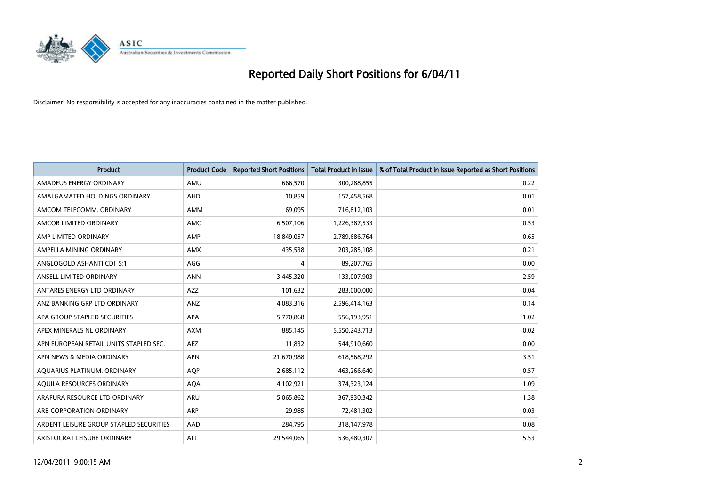

| <b>Product</b>                          | <b>Product Code</b> | <b>Reported Short Positions</b> | <b>Total Product in Issue</b> | % of Total Product in Issue Reported as Short Positions |
|-----------------------------------------|---------------------|---------------------------------|-------------------------------|---------------------------------------------------------|
| AMADEUS ENERGY ORDINARY                 | AMU                 | 666,570                         | 300,288,855                   | 0.22                                                    |
| AMALGAMATED HOLDINGS ORDINARY           | AHD                 | 10,859                          | 157,458,568                   | 0.01                                                    |
| AMCOM TELECOMM, ORDINARY                | <b>AMM</b>          | 69.095                          | 716,812,103                   | 0.01                                                    |
| AMCOR LIMITED ORDINARY                  | <b>AMC</b>          | 6,507,106                       | 1,226,387,533                 | 0.53                                                    |
| AMP LIMITED ORDINARY                    | AMP                 | 18,849,057                      | 2,789,686,764                 | 0.65                                                    |
| AMPELLA MINING ORDINARY                 | <b>AMX</b>          | 435,538                         | 203,285,108                   | 0.21                                                    |
| ANGLOGOLD ASHANTI CDI 5:1               | AGG                 | 4                               | 89,207,765                    | 0.00                                                    |
| ANSELL LIMITED ORDINARY                 | <b>ANN</b>          | 3,445,320                       | 133,007,903                   | 2.59                                                    |
| ANTARES ENERGY LTD ORDINARY             | <b>AZZ</b>          | 101,632                         | 283,000,000                   | 0.04                                                    |
| ANZ BANKING GRP LTD ORDINARY            | ANZ                 | 4,083,316                       | 2,596,414,163                 | 0.14                                                    |
| APA GROUP STAPLED SECURITIES            | <b>APA</b>          | 5,770,868                       | 556,193,951                   | 1.02                                                    |
| APEX MINERALS NL ORDINARY               | <b>AXM</b>          | 885.145                         | 5,550,243,713                 | 0.02                                                    |
| APN EUROPEAN RETAIL UNITS STAPLED SEC.  | <b>AEZ</b>          | 11,832                          | 544,910,660                   | 0.00                                                    |
| APN NEWS & MEDIA ORDINARY               | <b>APN</b>          | 21,670,988                      | 618,568,292                   | 3.51                                                    |
| AQUARIUS PLATINUM. ORDINARY             | <b>AOP</b>          | 2,685,112                       | 463,266,640                   | 0.57                                                    |
| AQUILA RESOURCES ORDINARY               | <b>AQA</b>          | 4,102,921                       | 374,323,124                   | 1.09                                                    |
| ARAFURA RESOURCE LTD ORDINARY           | <b>ARU</b>          | 5,065,862                       | 367,930,342                   | 1.38                                                    |
| ARB CORPORATION ORDINARY                | <b>ARP</b>          | 29,985                          | 72,481,302                    | 0.03                                                    |
| ARDENT LEISURE GROUP STAPLED SECURITIES | AAD                 | 284,795                         | 318,147,978                   | 0.08                                                    |
| ARISTOCRAT LEISURE ORDINARY             | ALL                 | 29,544,065                      | 536,480,307                   | 5.53                                                    |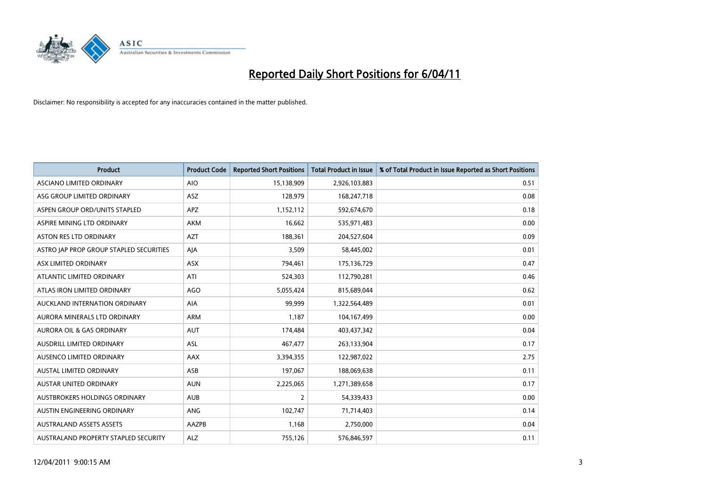

| <b>Product</b>                          | <b>Product Code</b> | <b>Reported Short Positions</b> | Total Product in Issue | % of Total Product in Issue Reported as Short Positions |
|-----------------------------------------|---------------------|---------------------------------|------------------------|---------------------------------------------------------|
| <b>ASCIANO LIMITED ORDINARY</b>         | <b>AIO</b>          | 15,138,909                      | 2,926,103,883          | 0.51                                                    |
| ASG GROUP LIMITED ORDINARY              | ASZ                 | 128,979                         | 168,247,718            | 0.08                                                    |
| ASPEN GROUP ORD/UNITS STAPLED           | <b>APZ</b>          | 1,152,112                       | 592,674,670            | 0.18                                                    |
| ASPIRE MINING LTD ORDINARY              | <b>AKM</b>          | 16,662                          | 535,971,483            | 0.00                                                    |
| <b>ASTON RES LTD ORDINARY</b>           | <b>AZT</b>          | 188,361                         | 204,527,604            | 0.09                                                    |
| ASTRO JAP PROP GROUP STAPLED SECURITIES | AJA                 | 3,509                           | 58,445,002             | 0.01                                                    |
| ASX LIMITED ORDINARY                    | <b>ASX</b>          | 794,461                         | 175,136,729            | 0.47                                                    |
| ATLANTIC LIMITED ORDINARY               | ATI                 | 524,303                         | 112,790,281            | 0.46                                                    |
| ATLAS IRON LIMITED ORDINARY             | <b>AGO</b>          | 5,055,424                       | 815,689,044            | 0.62                                                    |
| AUCKLAND INTERNATION ORDINARY           | <b>AIA</b>          | 99,999                          | 1,322,564,489          | 0.01                                                    |
| AURORA MINERALS LTD ORDINARY            | <b>ARM</b>          | 1,187                           | 104,167,499            | 0.00                                                    |
| AURORA OIL & GAS ORDINARY               | <b>AUT</b>          | 174,484                         | 403,437,342            | 0.04                                                    |
| AUSDRILL LIMITED ORDINARY               | <b>ASL</b>          | 467,477                         | 263,133,904            | 0.17                                                    |
| AUSENCO LIMITED ORDINARY                | <b>AAX</b>          | 3,394,355                       | 122,987,022            | 2.75                                                    |
| <b>AUSTAL LIMITED ORDINARY</b>          | ASB                 | 197,067                         | 188,069,638            | 0.11                                                    |
| <b>AUSTAR UNITED ORDINARY</b>           | <b>AUN</b>          | 2,225,065                       | 1,271,389,658          | 0.17                                                    |
| <b>AUSTBROKERS HOLDINGS ORDINARY</b>    | <b>AUB</b>          | 2                               | 54,339,433             | 0.00                                                    |
| AUSTIN ENGINEERING ORDINARY             | ANG                 | 102,747                         | 71,714,403             | 0.14                                                    |
| <b>AUSTRALAND ASSETS ASSETS</b>         | AAZPB               | 1,168                           | 2,750,000              | 0.04                                                    |
| AUSTRALAND PROPERTY STAPLED SECURITY    | <b>ALZ</b>          | 755,126                         | 576,846,597            | 0.11                                                    |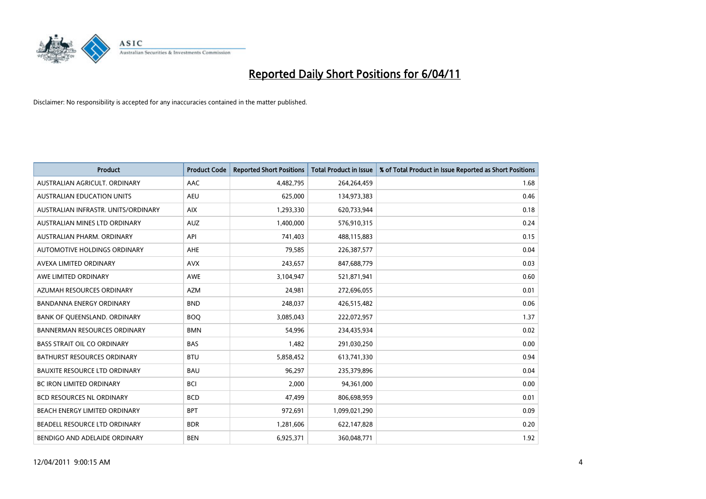

| Product                              | <b>Product Code</b> | <b>Reported Short Positions</b> | <b>Total Product in Issue</b> | % of Total Product in Issue Reported as Short Positions |
|--------------------------------------|---------------------|---------------------------------|-------------------------------|---------------------------------------------------------|
| AUSTRALIAN AGRICULT, ORDINARY        | AAC                 | 4,482,795                       | 264,264,459                   | 1.68                                                    |
| <b>AUSTRALIAN EDUCATION UNITS</b>    | <b>AEU</b>          | 625,000                         | 134,973,383                   | 0.46                                                    |
| AUSTRALIAN INFRASTR, UNITS/ORDINARY  | <b>AIX</b>          | 1,293,330                       | 620,733,944                   | 0.18                                                    |
| AUSTRALIAN MINES LTD ORDINARY        | <b>AUZ</b>          | 1,400,000                       | 576,910,315                   | 0.24                                                    |
| AUSTRALIAN PHARM, ORDINARY           | API                 | 741,403                         | 488,115,883                   | 0.15                                                    |
| AUTOMOTIVE HOLDINGS ORDINARY         | <b>AHE</b>          | 79,585                          | 226,387,577                   | 0.04                                                    |
| AVEXA LIMITED ORDINARY               | <b>AVX</b>          | 243.657                         | 847,688,779                   | 0.03                                                    |
| AWE LIMITED ORDINARY                 | <b>AWE</b>          | 3,104,947                       | 521,871,941                   | 0.60                                                    |
| AZUMAH RESOURCES ORDINARY            | <b>AZM</b>          | 24,981                          | 272,696,055                   | 0.01                                                    |
| <b>BANDANNA ENERGY ORDINARY</b>      | <b>BND</b>          | 248,037                         | 426,515,482                   | 0.06                                                    |
| BANK OF QUEENSLAND. ORDINARY         | <b>BOQ</b>          | 3,085,043                       | 222,072,957                   | 1.37                                                    |
| <b>BANNERMAN RESOURCES ORDINARY</b>  | <b>BMN</b>          | 54,996                          | 234,435,934                   | 0.02                                                    |
| <b>BASS STRAIT OIL CO ORDINARY</b>   | <b>BAS</b>          | 1,482                           | 291,030,250                   | 0.00                                                    |
| <b>BATHURST RESOURCES ORDINARY</b>   | <b>BTU</b>          | 5,858,452                       | 613,741,330                   | 0.94                                                    |
| <b>BAUXITE RESOURCE LTD ORDINARY</b> | <b>BAU</b>          | 96,297                          | 235,379,896                   | 0.04                                                    |
| <b>BC IRON LIMITED ORDINARY</b>      | <b>BCI</b>          | 2,000                           | 94,361,000                    | 0.00                                                    |
| <b>BCD RESOURCES NL ORDINARY</b>     | <b>BCD</b>          | 47,499                          | 806,698,959                   | 0.01                                                    |
| BEACH ENERGY LIMITED ORDINARY        | <b>BPT</b>          | 972,691                         | 1,099,021,290                 | 0.09                                                    |
| BEADELL RESOURCE LTD ORDINARY        | <b>BDR</b>          | 1,281,606                       | 622,147,828                   | 0.20                                                    |
| BENDIGO AND ADELAIDE ORDINARY        | <b>BEN</b>          | 6,925,371                       | 360,048,771                   | 1.92                                                    |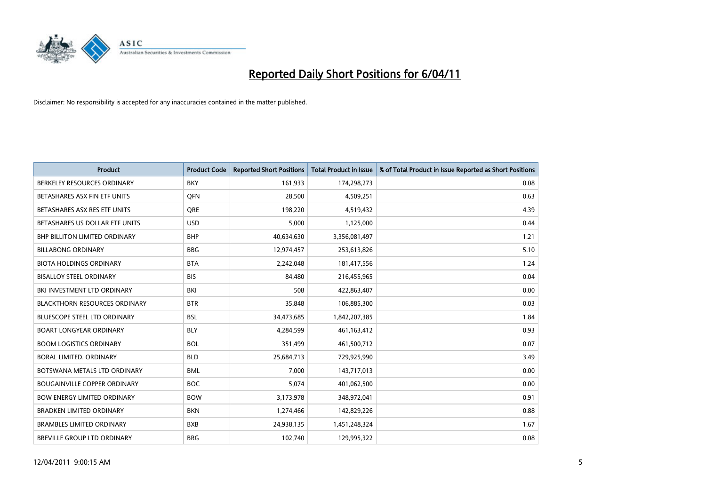

| Product                              | <b>Product Code</b> | <b>Reported Short Positions</b> | <b>Total Product in Issue</b> | % of Total Product in Issue Reported as Short Positions |
|--------------------------------------|---------------------|---------------------------------|-------------------------------|---------------------------------------------------------|
| BERKELEY RESOURCES ORDINARY          | <b>BKY</b>          | 161,933                         | 174,298,273                   | 0.08                                                    |
| BETASHARES ASX FIN ETF UNITS         | <b>OFN</b>          | 28,500                          | 4,509,251                     | 0.63                                                    |
| BETASHARES ASX RES ETF UNITS         | <b>ORE</b>          | 198,220                         | 4,519,432                     | 4.39                                                    |
| BETASHARES US DOLLAR ETF UNITS       | <b>USD</b>          | 5,000                           | 1,125,000                     | 0.44                                                    |
| <b>BHP BILLITON LIMITED ORDINARY</b> | <b>BHP</b>          | 40,634,630                      | 3,356,081,497                 | 1.21                                                    |
| <b>BILLABONG ORDINARY</b>            | <b>BBG</b>          | 12,974,457                      | 253,613,826                   | 5.10                                                    |
| <b>BIOTA HOLDINGS ORDINARY</b>       | <b>BTA</b>          | 2,242,048                       | 181,417,556                   | 1.24                                                    |
| <b>BISALLOY STEEL ORDINARY</b>       | <b>BIS</b>          | 84,480                          | 216,455,965                   | 0.04                                                    |
| BKI INVESTMENT LTD ORDINARY          | BKI                 | 508                             | 422,863,407                   | 0.00                                                    |
| <b>BLACKTHORN RESOURCES ORDINARY</b> | <b>BTR</b>          | 35,848                          | 106,885,300                   | 0.03                                                    |
| <b>BLUESCOPE STEEL LTD ORDINARY</b>  | <b>BSL</b>          | 34,473,685                      | 1,842,207,385                 | 1.84                                                    |
| <b>BOART LONGYEAR ORDINARY</b>       | <b>BLY</b>          | 4,284,599                       | 461,163,412                   | 0.93                                                    |
| <b>BOOM LOGISTICS ORDINARY</b>       | <b>BOL</b>          | 351,499                         | 461,500,712                   | 0.07                                                    |
| BORAL LIMITED, ORDINARY              | <b>BLD</b>          | 25,684,713                      | 729,925,990                   | 3.49                                                    |
| BOTSWANA METALS LTD ORDINARY         | <b>BML</b>          | 7,000                           | 143,717,013                   | 0.00                                                    |
| <b>BOUGAINVILLE COPPER ORDINARY</b>  | <b>BOC</b>          | 5.074                           | 401,062,500                   | 0.00                                                    |
| <b>BOW ENERGY LIMITED ORDINARY</b>   | <b>BOW</b>          | 3,173,978                       | 348,972,041                   | 0.91                                                    |
| <b>BRADKEN LIMITED ORDINARY</b>      | <b>BKN</b>          | 1,274,466                       | 142,829,226                   | 0.88                                                    |
| <b>BRAMBLES LIMITED ORDINARY</b>     | <b>BXB</b>          | 24,938,135                      | 1,451,248,324                 | 1.67                                                    |
| BREVILLE GROUP LTD ORDINARY          | <b>BRG</b>          | 102,740                         | 129,995,322                   | 0.08                                                    |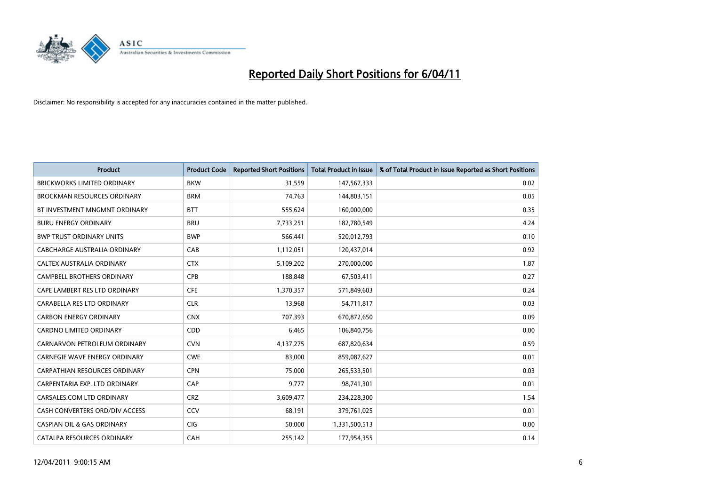

| <b>Product</b>                        | <b>Product Code</b> | <b>Reported Short Positions</b> | <b>Total Product in Issue</b> | % of Total Product in Issue Reported as Short Positions |
|---------------------------------------|---------------------|---------------------------------|-------------------------------|---------------------------------------------------------|
| <b>BRICKWORKS LIMITED ORDINARY</b>    | <b>BKW</b>          | 31,559                          | 147,567,333                   | 0.02                                                    |
| <b>BROCKMAN RESOURCES ORDINARY</b>    | <b>BRM</b>          | 74,763                          | 144,803,151                   | 0.05                                                    |
| BT INVESTMENT MNGMNT ORDINARY         | <b>BTT</b>          | 555,624                         | 160,000,000                   | 0.35                                                    |
| <b>BURU ENERGY ORDINARY</b>           | <b>BRU</b>          | 7,733,251                       | 182,780,549                   | 4.24                                                    |
| <b>BWP TRUST ORDINARY UNITS</b>       | <b>BWP</b>          | 566,441                         | 520,012,793                   | 0.10                                                    |
| CABCHARGE AUSTRALIA ORDINARY          | CAB                 | 1,112,051                       | 120,437,014                   | 0.92                                                    |
| CALTEX AUSTRALIA ORDINARY             | <b>CTX</b>          | 5,109,202                       | 270,000,000                   | 1.87                                                    |
| <b>CAMPBELL BROTHERS ORDINARY</b>     | CPB                 | 188,848                         | 67,503,411                    | 0.27                                                    |
| CAPE LAMBERT RES LTD ORDINARY         | <b>CFE</b>          | 1,370,357                       | 571,849,603                   | 0.24                                                    |
| CARABELLA RES LTD ORDINARY            | <b>CLR</b>          | 13,968                          | 54,711,817                    | 0.03                                                    |
| <b>CARBON ENERGY ORDINARY</b>         | <b>CNX</b>          | 707,393                         | 670,872,650                   | 0.09                                                    |
| <b>CARDNO LIMITED ORDINARY</b>        | CDD                 | 6,465                           | 106,840,756                   | 0.00                                                    |
| CARNARVON PETROLEUM ORDINARY          | <b>CVN</b>          | 4,137,275                       | 687,820,634                   | 0.59                                                    |
| <b>CARNEGIE WAVE ENERGY ORDINARY</b>  | <b>CWE</b>          | 83,000                          | 859,087,627                   | 0.01                                                    |
| CARPATHIAN RESOURCES ORDINARY         | <b>CPN</b>          | 75,000                          | 265,533,501                   | 0.03                                                    |
| CARPENTARIA EXP. LTD ORDINARY         | CAP                 | 9,777                           | 98,741,301                    | 0.01                                                    |
| CARSALES.COM LTD ORDINARY             | <b>CRZ</b>          | 3,609,477                       | 234,228,300                   | 1.54                                                    |
| CASH CONVERTERS ORD/DIV ACCESS        | CCV                 | 68,191                          | 379,761,025                   | 0.01                                                    |
| <b>CASPIAN OIL &amp; GAS ORDINARY</b> | <b>CIG</b>          | 50,000                          | 1,331,500,513                 | 0.00                                                    |
| CATALPA RESOURCES ORDINARY            | CAH                 | 255,142                         | 177,954,355                   | 0.14                                                    |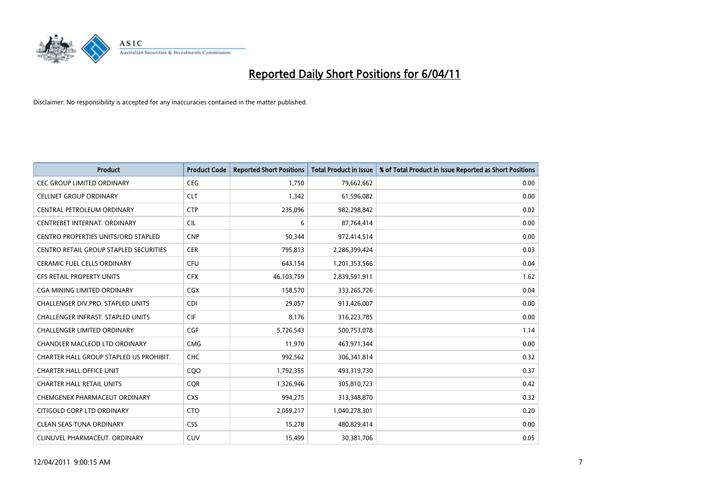

| <b>Product</b>                                | <b>Product Code</b> | <b>Reported Short Positions</b> | <b>Total Product in Issue</b> | % of Total Product in Issue Reported as Short Positions |
|-----------------------------------------------|---------------------|---------------------------------|-------------------------------|---------------------------------------------------------|
| <b>CEC GROUP LIMITED ORDINARY</b>             | <b>CEG</b>          | 1,750                           | 79,662,662                    | 0.00                                                    |
| <b>CELLNET GROUP ORDINARY</b>                 | <b>CLT</b>          | 1,342                           | 61,596,082                    | 0.00                                                    |
| CENTRAL PETROLEUM ORDINARY                    | <b>CTP</b>          | 235,096                         | 982,298,842                   | 0.02                                                    |
| CENTREBET INTERNAT. ORDINARY                  | <b>CIL</b>          | 6                               | 87,764,414                    | 0.00                                                    |
| CENTRO PROPERTIES UNITS/ORD STAPLED           | <b>CNP</b>          | 50,344                          | 972,414,514                   | 0.00                                                    |
| <b>CENTRO RETAIL GROUP STAPLED SECURITIES</b> | <b>CER</b>          | 795,813                         | 2,286,399,424                 | 0.03                                                    |
| <b>CERAMIC FUEL CELLS ORDINARY</b>            | <b>CFU</b>          | 643,154                         | 1,201,353,566                 | 0.04                                                    |
| <b>CFS RETAIL PROPERTY UNITS</b>              | <b>CFX</b>          | 46,103,759                      | 2,839,591,911                 | 1.62                                                    |
| <b>CGA MINING LIMITED ORDINARY</b>            | CGX                 | 158,570                         | 333,265,726                   | 0.04                                                    |
| <b>CHALLENGER DIV.PRO. STAPLED UNITS</b>      | <b>CDI</b>          | 29,057                          | 913,426,007                   | 0.00                                                    |
| CHALLENGER INFRAST. STAPLED UNITS             | <b>CIF</b>          | 8,176                           | 316,223,785                   | 0.00                                                    |
| <b>CHALLENGER LIMITED ORDINARY</b>            | <b>CGF</b>          | 5,726,543                       | 500,753,078                   | 1.14                                                    |
| <b>CHANDLER MACLEOD LTD ORDINARY</b>          | <b>CMG</b>          | 11,970                          | 463,971,344                   | 0.00                                                    |
| CHARTER HALL GROUP STAPLED US PROHIBIT.       | <b>CHC</b>          | 992,562                         | 306,341,814                   | 0.32                                                    |
| <b>CHARTER HALL OFFICE UNIT</b>               | COO                 | 1,792,355                       | 493,319,730                   | 0.37                                                    |
| CHARTER HALL RETAIL UNITS                     | <b>COR</b>          | 1,326,946                       | 305,810,723                   | 0.42                                                    |
| CHEMGENEX PHARMACEUT ORDINARY                 | <b>CXS</b>          | 994,275                         | 313,348,870                   | 0.32                                                    |
| CITIGOLD CORP LTD ORDINARY                    | <b>CTO</b>          | 2,059,217                       | 1,040,278,301                 | 0.20                                                    |
| <b>CLEAN SEAS TUNA ORDINARY</b>               | <b>CSS</b>          | 15,278                          | 480,829,414                   | 0.00                                                    |
| CLINUVEL PHARMACEUT, ORDINARY                 | <b>CUV</b>          | 15,499                          | 30,381,706                    | 0.05                                                    |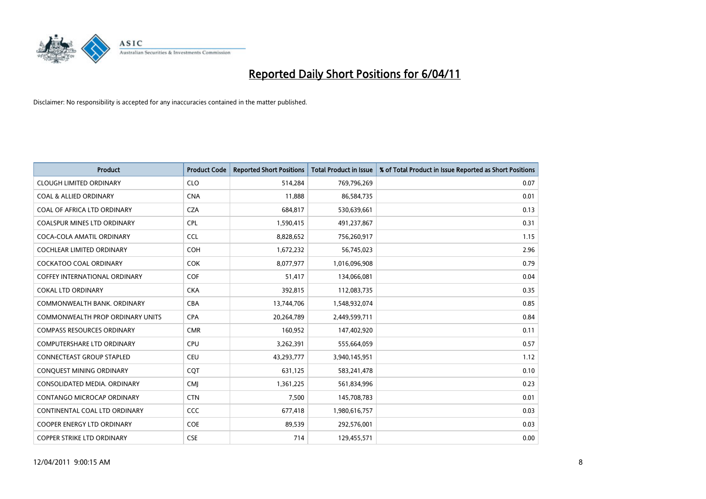

| Product                              | <b>Product Code</b> | <b>Reported Short Positions</b> | <b>Total Product in Issue</b> | % of Total Product in Issue Reported as Short Positions |
|--------------------------------------|---------------------|---------------------------------|-------------------------------|---------------------------------------------------------|
| <b>CLOUGH LIMITED ORDINARY</b>       | <b>CLO</b>          | 514,284                         | 769,796,269                   | 0.07                                                    |
| <b>COAL &amp; ALLIED ORDINARY</b>    | <b>CNA</b>          | 11,888                          | 86,584,735                    | 0.01                                                    |
| <b>COAL OF AFRICA LTD ORDINARY</b>   | <b>CZA</b>          | 684,817                         | 530,639,661                   | 0.13                                                    |
| COALSPUR MINES LTD ORDINARY          | <b>CPL</b>          | 1,590,415                       | 491,237,867                   | 0.31                                                    |
| COCA-COLA AMATIL ORDINARY            | <b>CCL</b>          | 8,828,652                       | 756,260,917                   | 1.15                                                    |
| <b>COCHLEAR LIMITED ORDINARY</b>     | <b>COH</b>          | 1,672,232                       | 56,745,023                    | 2.96                                                    |
| <b>COCKATOO COAL ORDINARY</b>        | <b>COK</b>          | 8,077,977                       | 1,016,096,908                 | 0.79                                                    |
| <b>COFFEY INTERNATIONAL ORDINARY</b> | <b>COF</b>          | 51,417                          | 134,066,081                   | 0.04                                                    |
| <b>COKAL LTD ORDINARY</b>            | <b>CKA</b>          | 392,815                         | 112,083,735                   | 0.35                                                    |
| COMMONWEALTH BANK, ORDINARY          | <b>CBA</b>          | 13,744,706                      | 1,548,932,074                 | 0.85                                                    |
| COMMONWEALTH PROP ORDINARY UNITS     | <b>CPA</b>          | 20,264,789                      | 2,449,599,711                 | 0.84                                                    |
| <b>COMPASS RESOURCES ORDINARY</b>    | <b>CMR</b>          | 160,952                         | 147,402,920                   | 0.11                                                    |
| <b>COMPUTERSHARE LTD ORDINARY</b>    | <b>CPU</b>          | 3,262,391                       | 555,664,059                   | 0.57                                                    |
| <b>CONNECTEAST GROUP STAPLED</b>     | <b>CEU</b>          | 43,293,777                      | 3,940,145,951                 | 1.12                                                    |
| CONQUEST MINING ORDINARY             | <b>COT</b>          | 631,125                         | 583,241,478                   | 0.10                                                    |
| CONSOLIDATED MEDIA, ORDINARY         | <b>CMI</b>          | 1,361,225                       | 561,834,996                   | 0.23                                                    |
| CONTANGO MICROCAP ORDINARY           | <b>CTN</b>          | 7,500                           | 145,708,783                   | 0.01                                                    |
| CONTINENTAL COAL LTD ORDINARY        | <b>CCC</b>          | 677,418                         | 1,980,616,757                 | 0.03                                                    |
| <b>COOPER ENERGY LTD ORDINARY</b>    | <b>COE</b>          | 89,539                          | 292,576,001                   | 0.03                                                    |
| COPPER STRIKE LTD ORDINARY           | <b>CSE</b>          | 714                             | 129,455,571                   | 0.00                                                    |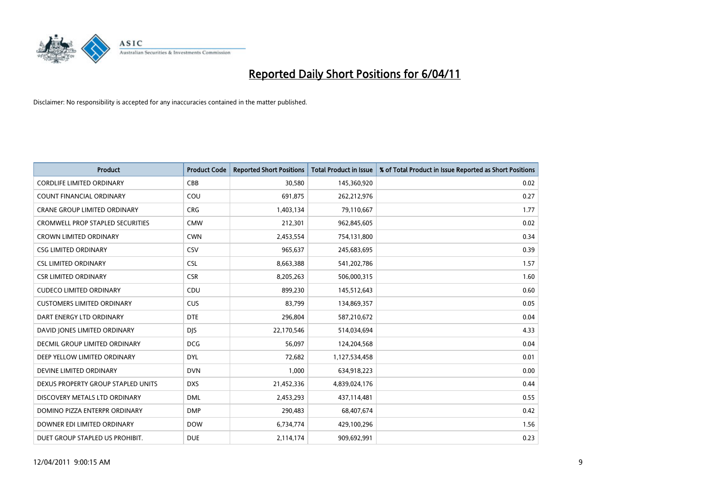

| Product                                 | <b>Product Code</b> | <b>Reported Short Positions</b> | <b>Total Product in Issue</b> | % of Total Product in Issue Reported as Short Positions |
|-----------------------------------------|---------------------|---------------------------------|-------------------------------|---------------------------------------------------------|
| <b>CORDLIFE LIMITED ORDINARY</b>        | CBB                 | 30,580                          | 145,360,920                   | 0.02                                                    |
| <b>COUNT FINANCIAL ORDINARY</b>         | COU                 | 691,875                         | 262,212,976                   | 0.27                                                    |
| <b>CRANE GROUP LIMITED ORDINARY</b>     | <b>CRG</b>          | 1,403,134                       | 79,110,667                    | 1.77                                                    |
| <b>CROMWELL PROP STAPLED SECURITIES</b> | <b>CMW</b>          | 212,301                         | 962,845,605                   | 0.02                                                    |
| <b>CROWN LIMITED ORDINARY</b>           | <b>CWN</b>          | 2,453,554                       | 754,131,800                   | 0.34                                                    |
| <b>CSG LIMITED ORDINARY</b>             | CSV                 | 965,637                         | 245,683,695                   | 0.39                                                    |
| <b>CSL LIMITED ORDINARY</b>             | <b>CSL</b>          | 8,663,388                       | 541,202,786                   | 1.57                                                    |
| <b>CSR LIMITED ORDINARY</b>             | <b>CSR</b>          | 8,205,263                       | 506,000,315                   | 1.60                                                    |
| <b>CUDECO LIMITED ORDINARY</b>          | CDU                 | 899,230                         | 145,512,643                   | 0.60                                                    |
| <b>CUSTOMERS LIMITED ORDINARY</b>       | <b>CUS</b>          | 83,799                          | 134,869,357                   | 0.05                                                    |
| DART ENERGY LTD ORDINARY                | <b>DTE</b>          | 296,804                         | 587,210,672                   | 0.04                                                    |
| DAVID JONES LIMITED ORDINARY            | <b>DJS</b>          | 22,170,546                      | 514,034,694                   | 4.33                                                    |
| <b>DECMIL GROUP LIMITED ORDINARY</b>    | <b>DCG</b>          | 56,097                          | 124,204,568                   | 0.04                                                    |
| DEEP YELLOW LIMITED ORDINARY            | <b>DYL</b>          | 72,682                          | 1,127,534,458                 | 0.01                                                    |
| DEVINE LIMITED ORDINARY                 | <b>DVN</b>          | 1,000                           | 634,918,223                   | 0.00                                                    |
| DEXUS PROPERTY GROUP STAPLED UNITS      | <b>DXS</b>          | 21,452,336                      | 4,839,024,176                 | 0.44                                                    |
| DISCOVERY METALS LTD ORDINARY           | <b>DML</b>          | 2,453,293                       | 437,114,481                   | 0.55                                                    |
| DOMINO PIZZA ENTERPR ORDINARY           | <b>DMP</b>          | 290,483                         | 68,407,674                    | 0.42                                                    |
| DOWNER EDI LIMITED ORDINARY             | <b>DOW</b>          | 6,734,774                       | 429,100,296                   | 1.56                                                    |
| DUET GROUP STAPLED US PROHIBIT.         | <b>DUE</b>          | 2,114,174                       | 909,692,991                   | 0.23                                                    |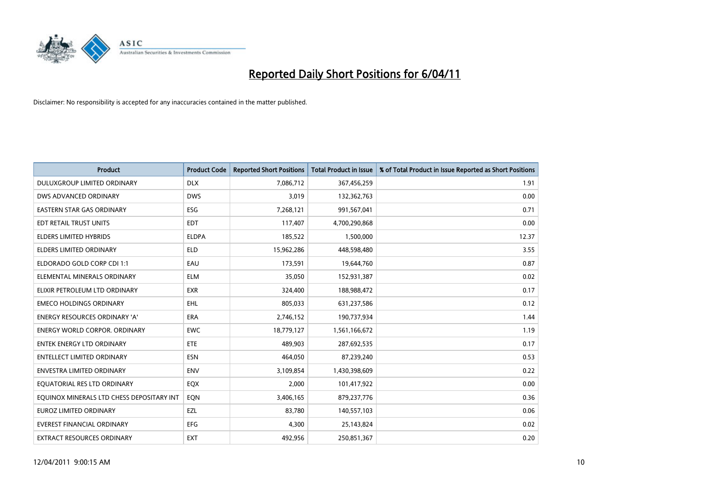

| <b>Product</b>                            | <b>Product Code</b> | <b>Reported Short Positions</b> | Total Product in Issue | % of Total Product in Issue Reported as Short Positions |
|-------------------------------------------|---------------------|---------------------------------|------------------------|---------------------------------------------------------|
| DULUXGROUP LIMITED ORDINARY               | <b>DLX</b>          | 7,086,712                       | 367,456,259            | 1.91                                                    |
| DWS ADVANCED ORDINARY                     | <b>DWS</b>          | 3,019                           | 132,362,763            | 0.00                                                    |
| <b>EASTERN STAR GAS ORDINARY</b>          | <b>ESG</b>          | 7,268,121                       | 991,567,041            | 0.71                                                    |
| EDT RETAIL TRUST UNITS                    | <b>EDT</b>          | 117,407                         | 4,700,290,868          | 0.00                                                    |
| <b>ELDERS LIMITED HYBRIDS</b>             | <b>ELDPA</b>        | 185,522                         | 1,500,000              | 12.37                                                   |
| <b>ELDERS LIMITED ORDINARY</b>            | <b>ELD</b>          | 15,962,286                      | 448,598,480            | 3.55                                                    |
| ELDORADO GOLD CORP CDI 1:1                | EAU                 | 173,591                         | 19,644,760             | 0.87                                                    |
| ELEMENTAL MINERALS ORDINARY               | <b>ELM</b>          | 35,050                          | 152,931,387            | 0.02                                                    |
| ELIXIR PETROLEUM LTD ORDINARY             | <b>EXR</b>          | 324,400                         | 188,988,472            | 0.17                                                    |
| <b>EMECO HOLDINGS ORDINARY</b>            | <b>EHL</b>          | 805,033                         | 631,237,586            | 0.12                                                    |
| <b>ENERGY RESOURCES ORDINARY 'A'</b>      | ERA                 | 2,746,152                       | 190,737,934            | 1.44                                                    |
| <b>ENERGY WORLD CORPOR, ORDINARY</b>      | <b>EWC</b>          | 18,779,127                      | 1,561,166,672          | 1.19                                                    |
| <b>ENTEK ENERGY LTD ORDINARY</b>          | <b>ETE</b>          | 489.903                         | 287,692,535            | 0.17                                                    |
| <b>ENTELLECT LIMITED ORDINARY</b>         | <b>ESN</b>          | 464.050                         | 87,239,240             | 0.53                                                    |
| <b>ENVESTRA LIMITED ORDINARY</b>          | <b>ENV</b>          | 3,109,854                       | 1,430,398,609          | 0.22                                                    |
| EQUATORIAL RES LTD ORDINARY               | EQX                 | 2,000                           | 101,417,922            | 0.00                                                    |
| EQUINOX MINERALS LTD CHESS DEPOSITARY INT | EQN                 | 3,406,165                       | 879,237,776            | 0.36                                                    |
| <b>EUROZ LIMITED ORDINARY</b>             | EZL                 | 83,780                          | 140,557,103            | 0.06                                                    |
| <b>EVEREST FINANCIAL ORDINARY</b>         | <b>EFG</b>          | 4,300                           | 25,143,824             | 0.02                                                    |
| EXTRACT RESOURCES ORDINARY                | <b>EXT</b>          | 492,956                         | 250,851,367            | 0.20                                                    |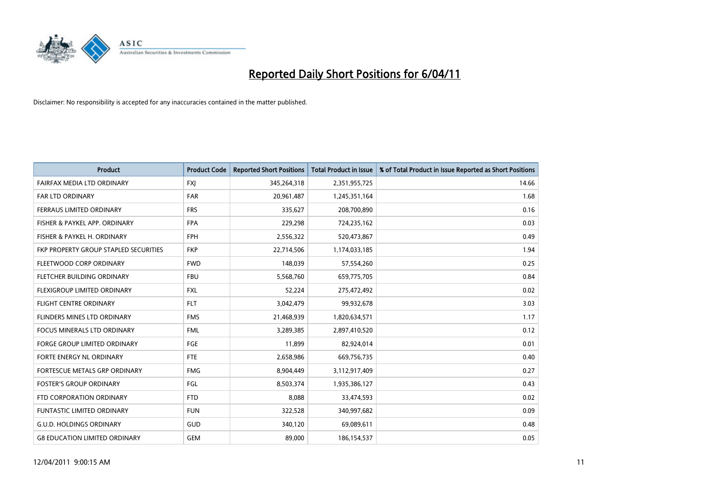

| <b>Product</b>                        | <b>Product Code</b> | <b>Reported Short Positions</b> | Total Product in Issue | % of Total Product in Issue Reported as Short Positions |
|---------------------------------------|---------------------|---------------------------------|------------------------|---------------------------------------------------------|
| <b>FAIRFAX MEDIA LTD ORDINARY</b>     | <b>FXJ</b>          | 345,264,318                     | 2,351,955,725          | 14.66                                                   |
| FAR LTD ORDINARY                      | <b>FAR</b>          | 20,961,487                      | 1,245,351,164          | 1.68                                                    |
| FERRAUS LIMITED ORDINARY              | <b>FRS</b>          | 335,627                         | 208,700,890            | 0.16                                                    |
| FISHER & PAYKEL APP. ORDINARY         | <b>FPA</b>          | 229,298                         | 724,235,162            | 0.03                                                    |
| FISHER & PAYKEL H. ORDINARY           | <b>FPH</b>          | 2,556,322                       | 520,473,867            | 0.49                                                    |
| FKP PROPERTY GROUP STAPLED SECURITIES | <b>FKP</b>          | 22,714,506                      | 1,174,033,185          | 1.94                                                    |
| FLEETWOOD CORP ORDINARY               | <b>FWD</b>          | 148,039                         | 57,554,260             | 0.25                                                    |
| FLETCHER BUILDING ORDINARY            | <b>FBU</b>          | 5,568,760                       | 659,775,705            | 0.84                                                    |
| FLEXIGROUP LIMITED ORDINARY           | <b>FXL</b>          | 52,224                          | 275,472,492            | 0.02                                                    |
| <b>FLIGHT CENTRE ORDINARY</b>         | <b>FLT</b>          | 3,042,479                       | 99,932,678             | 3.03                                                    |
| <b>FLINDERS MINES LTD ORDINARY</b>    | <b>FMS</b>          | 21,468,939                      | 1,820,634,571          | 1.17                                                    |
| <b>FOCUS MINERALS LTD ORDINARY</b>    | <b>FML</b>          | 3,289,385                       | 2,897,410,520          | 0.12                                                    |
| <b>FORGE GROUP LIMITED ORDINARY</b>   | FGE                 | 11,899                          | 82,924,014             | 0.01                                                    |
| FORTE ENERGY NL ORDINARY              | <b>FTE</b>          | 2,658,986                       | 669,756,735            | 0.40                                                    |
| FORTESCUE METALS GRP ORDINARY         | <b>FMG</b>          | 8,904,449                       | 3,112,917,409          | 0.27                                                    |
| <b>FOSTER'S GROUP ORDINARY</b>        | FGL                 | 8,503,374                       | 1,935,386,127          | 0.43                                                    |
| FTD CORPORATION ORDINARY              | <b>FTD</b>          | 8,088                           | 33,474,593             | 0.02                                                    |
| <b>FUNTASTIC LIMITED ORDINARY</b>     | <b>FUN</b>          | 322,528                         | 340,997,682            | 0.09                                                    |
| <b>G.U.D. HOLDINGS ORDINARY</b>       | GUD                 | 340,120                         | 69,089,611             | 0.48                                                    |
| <b>G8 EDUCATION LIMITED ORDINARY</b>  | <b>GEM</b>          | 89,000                          | 186,154,537            | 0.05                                                    |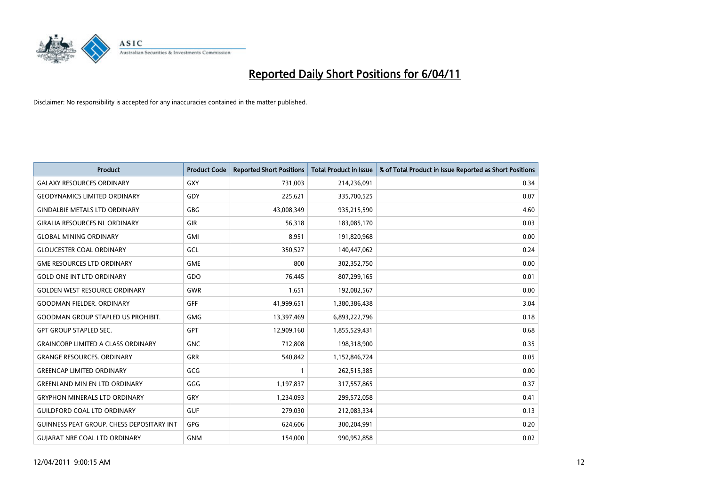

| <b>Product</b>                            | <b>Product Code</b> | <b>Reported Short Positions</b> | Total Product in Issue | % of Total Product in Issue Reported as Short Positions |
|-------------------------------------------|---------------------|---------------------------------|------------------------|---------------------------------------------------------|
| <b>GALAXY RESOURCES ORDINARY</b>          | <b>GXY</b>          | 731,003                         | 214,236,091            | 0.34                                                    |
| <b>GEODYNAMICS LIMITED ORDINARY</b>       | GDY                 | 225,621                         | 335,700,525            | 0.07                                                    |
| <b>GINDALBIE METALS LTD ORDINARY</b>      | <b>GBG</b>          | 43,008,349                      | 935,215,590            | 4.60                                                    |
| <b>GIRALIA RESOURCES NL ORDINARY</b>      | GIR                 | 56,318                          | 183,085,170            | 0.03                                                    |
| <b>GLOBAL MINING ORDINARY</b>             | <b>GMI</b>          | 8,951                           | 191,820,968            | 0.00                                                    |
| <b>GLOUCESTER COAL ORDINARY</b>           | GCL                 | 350,527                         | 140,447,062            | 0.24                                                    |
| <b>GME RESOURCES LTD ORDINARY</b>         | <b>GME</b>          | 800                             | 302,352,750            | 0.00                                                    |
| <b>GOLD ONE INT LTD ORDINARY</b>          | GDO                 | 76,445                          | 807,299,165            | 0.01                                                    |
| <b>GOLDEN WEST RESOURCE ORDINARY</b>      | <b>GWR</b>          | 1,651                           | 192,082,567            | 0.00                                                    |
| <b>GOODMAN FIELDER, ORDINARY</b>          | <b>GFF</b>          | 41,999,651                      | 1,380,386,438          | 3.04                                                    |
| <b>GOODMAN GROUP STAPLED US PROHIBIT.</b> | <b>GMG</b>          | 13,397,469                      | 6,893,222,796          | 0.18                                                    |
| <b>GPT GROUP STAPLED SEC.</b>             | <b>GPT</b>          | 12,909,160                      | 1,855,529,431          | 0.68                                                    |
| <b>GRAINCORP LIMITED A CLASS ORDINARY</b> | <b>GNC</b>          | 712,808                         | 198,318,900            | 0.35                                                    |
| <b>GRANGE RESOURCES, ORDINARY</b>         | <b>GRR</b>          | 540.842                         | 1,152,846,724          | 0.05                                                    |
| <b>GREENCAP LIMITED ORDINARY</b>          | GCG                 |                                 | 262,515,385            | 0.00                                                    |
| <b>GREENLAND MIN EN LTD ORDINARY</b>      | GGG                 | 1,197,837                       | 317,557,865            | 0.37                                                    |
| <b>GRYPHON MINERALS LTD ORDINARY</b>      | <b>GRY</b>          | 1,234,093                       | 299,572,058            | 0.41                                                    |
| <b>GUILDFORD COAL LTD ORDINARY</b>        | <b>GUF</b>          | 279,030                         | 212,083,334            | 0.13                                                    |
| GUINNESS PEAT GROUP. CHESS DEPOSITARY INT | <b>GPG</b>          | 624,606                         | 300,204,991            | 0.20                                                    |
| <b>GUIARAT NRE COAL LTD ORDINARY</b>      | <b>GNM</b>          | 154,000                         | 990,952,858            | 0.02                                                    |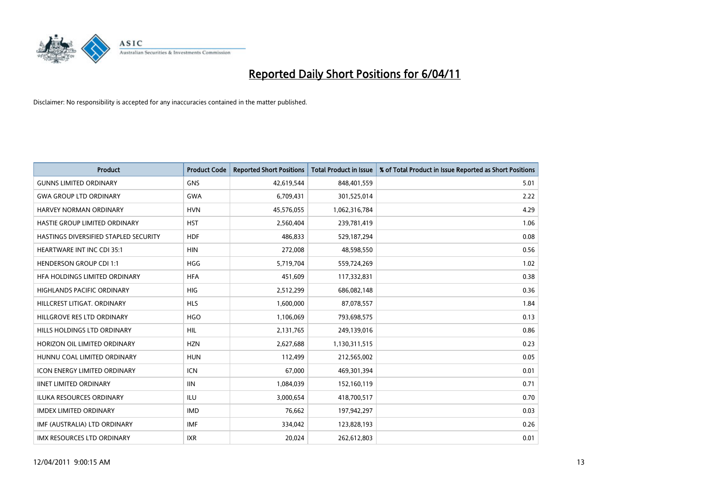

| <b>Product</b>                        | <b>Product Code</b> | <b>Reported Short Positions</b> | <b>Total Product in Issue</b> | % of Total Product in Issue Reported as Short Positions |
|---------------------------------------|---------------------|---------------------------------|-------------------------------|---------------------------------------------------------|
| <b>GUNNS LIMITED ORDINARY</b>         | <b>GNS</b>          | 42,619,544                      | 848,401,559                   | 5.01                                                    |
| <b>GWA GROUP LTD ORDINARY</b>         | <b>GWA</b>          | 6,709,431                       | 301,525,014                   | 2.22                                                    |
| HARVEY NORMAN ORDINARY                | <b>HVN</b>          | 45,576,055                      | 1,062,316,784                 | 4.29                                                    |
| HASTIE GROUP LIMITED ORDINARY         | <b>HST</b>          | 2,560,404                       | 239,781,419                   | 1.06                                                    |
| HASTINGS DIVERSIFIED STAPLED SECURITY | <b>HDF</b>          | 486,833                         | 529,187,294                   | 0.08                                                    |
| <b>HEARTWARE INT INC CDI 35:1</b>     | <b>HIN</b>          | 272,008                         | 48,598,550                    | 0.56                                                    |
| <b>HENDERSON GROUP CDI 1:1</b>        | <b>HGG</b>          | 5,719,704                       | 559,724,269                   | 1.02                                                    |
| HEA HOLDINGS LIMITED ORDINARY         | <b>HFA</b>          | 451,609                         | 117,332,831                   | 0.38                                                    |
| HIGHLANDS PACIFIC ORDINARY            | HIG                 | 2,512,299                       | 686,082,148                   | 0.36                                                    |
| HILLCREST LITIGAT, ORDINARY           | <b>HLS</b>          | 1,600,000                       | 87,078,557                    | 1.84                                                    |
| HILLGROVE RES LTD ORDINARY            | <b>HGO</b>          | 1,106,069                       | 793,698,575                   | 0.13                                                    |
| HILLS HOLDINGS LTD ORDINARY           | HIL                 | 2,131,765                       | 249,139,016                   | 0.86                                                    |
| HORIZON OIL LIMITED ORDINARY          | <b>HZN</b>          | 2,627,688                       | 1,130,311,515                 | 0.23                                                    |
| HUNNU COAL LIMITED ORDINARY           | <b>HUN</b>          | 112,499                         | 212,565,002                   | 0.05                                                    |
| <b>ICON ENERGY LIMITED ORDINARY</b>   | <b>ICN</b>          | 67,000                          | 469,301,394                   | 0.01                                                    |
| <b>IINET LIMITED ORDINARY</b>         | <b>IIN</b>          | 1,084,039                       | 152,160,119                   | 0.71                                                    |
| <b>ILUKA RESOURCES ORDINARY</b>       | ILU                 | 3,000,654                       | 418,700,517                   | 0.70                                                    |
| <b>IMDEX LIMITED ORDINARY</b>         | <b>IMD</b>          | 76,662                          | 197,942,297                   | 0.03                                                    |
| IMF (AUSTRALIA) LTD ORDINARY          | <b>IMF</b>          | 334,042                         | 123,828,193                   | 0.26                                                    |
| IMX RESOURCES LTD ORDINARY            | <b>IXR</b>          | 20,024                          | 262,612,803                   | 0.01                                                    |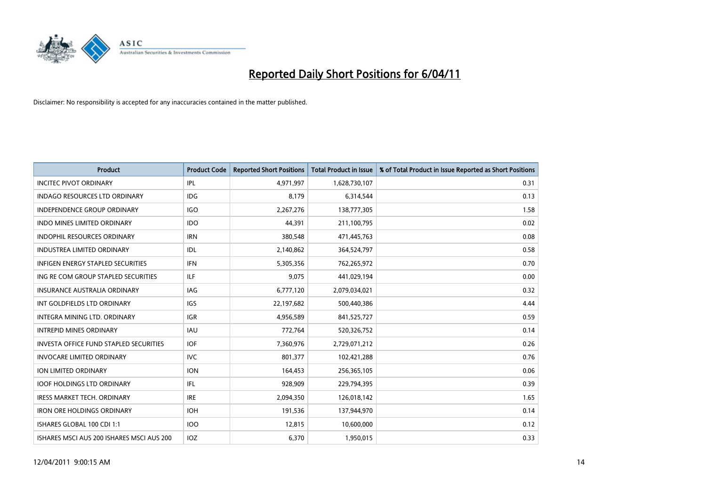

| <b>Product</b>                                | <b>Product Code</b> | <b>Reported Short Positions</b> | Total Product in Issue | % of Total Product in Issue Reported as Short Positions |
|-----------------------------------------------|---------------------|---------------------------------|------------------------|---------------------------------------------------------|
| <b>INCITEC PIVOT ORDINARY</b>                 | IPL                 | 4,971,997                       | 1,628,730,107          | 0.31                                                    |
| INDAGO RESOURCES LTD ORDINARY                 | <b>IDG</b>          | 8,179                           | 6,314,544              | 0.13                                                    |
| <b>INDEPENDENCE GROUP ORDINARY</b>            | <b>IGO</b>          | 2,267,276                       | 138,777,305            | 1.58                                                    |
| INDO MINES LIMITED ORDINARY                   | <b>IDO</b>          | 44,391                          | 211,100,795            | 0.02                                                    |
| <b>INDOPHIL RESOURCES ORDINARY</b>            | <b>IRN</b>          | 380,548                         | 471,445,763            | 0.08                                                    |
| <b>INDUSTREA LIMITED ORDINARY</b>             | IDL                 | 2,140,862                       | 364,524,797            | 0.58                                                    |
| INFIGEN ENERGY STAPLED SECURITIES             | <b>IFN</b>          | 5,305,356                       | 762,265,972            | 0.70                                                    |
| ING RE COM GROUP STAPLED SECURITIES           | <b>ILF</b>          | 9,075                           | 441,029,194            | 0.00                                                    |
| INSURANCE AUSTRALIA ORDINARY                  | IAG                 | 6,777,120                       | 2,079,034,021          | 0.32                                                    |
| INT GOLDFIELDS LTD ORDINARY                   | <b>IGS</b>          | 22,197,682                      | 500,440,386            | 4.44                                                    |
| INTEGRA MINING LTD, ORDINARY                  | <b>IGR</b>          | 4,956,589                       | 841,525,727            | 0.59                                                    |
| <b>INTREPID MINES ORDINARY</b>                | <b>IAU</b>          | 772,764                         | 520,326,752            | 0.14                                                    |
| <b>INVESTA OFFICE FUND STAPLED SECURITIES</b> | <b>IOF</b>          | 7,360,976                       | 2,729,071,212          | 0.26                                                    |
| <b>INVOCARE LIMITED ORDINARY</b>              | <b>IVC</b>          | 801,377                         | 102,421,288            | 0.76                                                    |
| <b>ION LIMITED ORDINARY</b>                   | <b>ION</b>          | 164,453                         | 256,365,105            | 0.06                                                    |
| <b>IOOF HOLDINGS LTD ORDINARY</b>             | <b>IFL</b>          | 928.909                         | 229,794,395            | 0.39                                                    |
| <b>IRESS MARKET TECH. ORDINARY</b>            | <b>IRE</b>          | 2,094,350                       | 126,018,142            | 1.65                                                    |
| <b>IRON ORE HOLDINGS ORDINARY</b>             | <b>IOH</b>          | 191,536                         | 137,944,970            | 0.14                                                    |
| ISHARES GLOBAL 100 CDI 1:1                    | <b>IOO</b>          | 12,815                          | 10,600,000             | 0.12                                                    |
| ISHARES MSCI AUS 200 ISHARES MSCI AUS 200     | IOZ                 | 6,370                           | 1,950,015              | 0.33                                                    |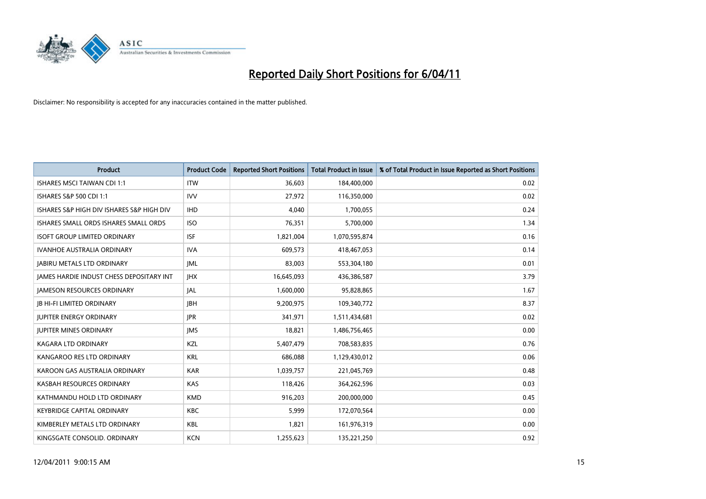

| <b>Product</b>                                  | <b>Product Code</b> | <b>Reported Short Positions</b> | Total Product in Issue | % of Total Product in Issue Reported as Short Positions |
|-------------------------------------------------|---------------------|---------------------------------|------------------------|---------------------------------------------------------|
| <b>ISHARES MSCI TAIWAN CDI 1:1</b>              | <b>ITW</b>          | 36,603                          | 184,400,000            | 0.02                                                    |
| ISHARES S&P 500 CDI 1:1                         | <b>IVV</b>          | 27,972                          | 116,350,000            | 0.02                                                    |
| ISHARES S&P HIGH DIV ISHARES S&P HIGH DIV       | <b>IHD</b>          | 4,040                           | 1,700,055              | 0.24                                                    |
| ISHARES SMALL ORDS ISHARES SMALL ORDS           | <b>ISO</b>          | 76,351                          | 5,700,000              | 1.34                                                    |
| <b>ISOFT GROUP LIMITED ORDINARY</b>             | <b>ISF</b>          | 1,821,004                       | 1,070,595,874          | 0.16                                                    |
| <b>IVANHOE AUSTRALIA ORDINARY</b>               | <b>IVA</b>          | 609,573                         | 418,467,053            | 0.14                                                    |
| <b>JABIRU METALS LTD ORDINARY</b>               | <b>JML</b>          | 83.003                          | 553,304,180            | 0.01                                                    |
| <b>JAMES HARDIE INDUST CHESS DEPOSITARY INT</b> | <b>IHX</b>          | 16,645,093                      | 436,386,587            | 3.79                                                    |
| <b>JAMESON RESOURCES ORDINARY</b>               | JAL                 | 1,600,000                       | 95,828,865             | 1.67                                                    |
| <b>IB HI-FI LIMITED ORDINARY</b>                | <b>IBH</b>          | 9,200,975                       | 109,340,772            | 8.37                                                    |
| <b>JUPITER ENERGY ORDINARY</b>                  | <b>IPR</b>          | 341,971                         | 1,511,434,681          | 0.02                                                    |
| <b>JUPITER MINES ORDINARY</b>                   | <b>IMS</b>          | 18,821                          | 1,486,756,465          | 0.00                                                    |
| <b>KAGARA LTD ORDINARY</b>                      | KZL                 | 5,407,479                       | 708,583,835            | 0.76                                                    |
| KANGAROO RES LTD ORDINARY                       | <b>KRL</b>          | 686.088                         | 1,129,430,012          | 0.06                                                    |
| KAROON GAS AUSTRALIA ORDINARY                   | <b>KAR</b>          | 1,039,757                       | 221,045,769            | 0.48                                                    |
| KASBAH RESOURCES ORDINARY                       | <b>KAS</b>          | 118,426                         | 364,262,596            | 0.03                                                    |
| KATHMANDU HOLD LTD ORDINARY                     | <b>KMD</b>          | 916,203                         | 200,000,000            | 0.45                                                    |
| <b>KEYBRIDGE CAPITAL ORDINARY</b>               | <b>KBC</b>          | 5,999                           | 172,070,564            | 0.00                                                    |
| KIMBERLEY METALS LTD ORDINARY                   | KBL                 | 1,821                           | 161,976,319            | 0.00                                                    |
| KINGSGATE CONSOLID. ORDINARY                    | <b>KCN</b>          | 1,255,623                       | 135,221,250            | 0.92                                                    |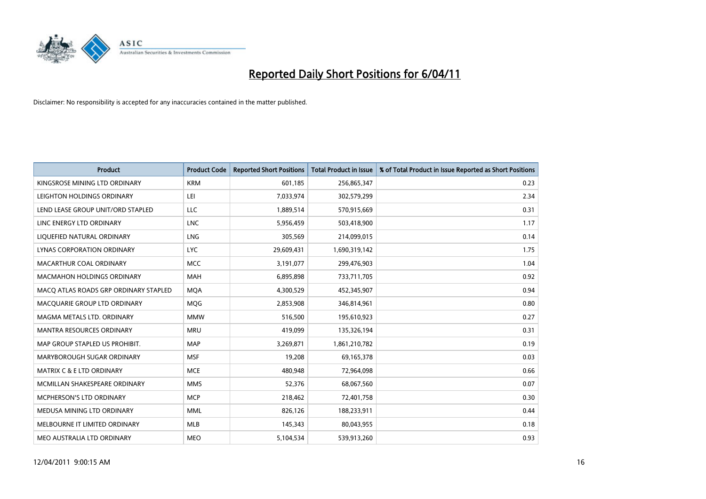

| <b>Product</b>                        | <b>Product Code</b> | <b>Reported Short Positions</b> | <b>Total Product in Issue</b> | % of Total Product in Issue Reported as Short Positions |
|---------------------------------------|---------------------|---------------------------------|-------------------------------|---------------------------------------------------------|
| KINGSROSE MINING LTD ORDINARY         | <b>KRM</b>          | 601,185                         | 256,865,347                   | 0.23                                                    |
| LEIGHTON HOLDINGS ORDINARY            | LEI                 | 7,033,974                       | 302,579,299                   | 2.34                                                    |
| LEND LEASE GROUP UNIT/ORD STAPLED     | LLC                 | 1,889,514                       | 570,915,669                   | 0.31                                                    |
| LINC ENERGY LTD ORDINARY              | <b>LNC</b>          | 5,956,459                       | 503,418,900                   | 1.17                                                    |
| LIQUEFIED NATURAL ORDINARY            | <b>LNG</b>          | 305,569                         | 214,099,015                   | 0.14                                                    |
| LYNAS CORPORATION ORDINARY            | <b>LYC</b>          | 29,609,431                      | 1,690,319,142                 | 1.75                                                    |
| MACARTHUR COAL ORDINARY               | <b>MCC</b>          | 3,191,077                       | 299,476,903                   | 1.04                                                    |
| <b>MACMAHON HOLDINGS ORDINARY</b>     | <b>MAH</b>          | 6,895,898                       | 733,711,705                   | 0.92                                                    |
| MACO ATLAS ROADS GRP ORDINARY STAPLED | <b>MQA</b>          | 4,300,529                       | 452,345,907                   | 0.94                                                    |
| MACQUARIE GROUP LTD ORDINARY          | MQG                 | 2,853,908                       | 346,814,961                   | 0.80                                                    |
| MAGMA METALS LTD. ORDINARY            | <b>MMW</b>          | 516,500                         | 195,610,923                   | 0.27                                                    |
| <b>MANTRA RESOURCES ORDINARY</b>      | <b>MRU</b>          | 419,099                         | 135,326,194                   | 0.31                                                    |
| MAP GROUP STAPLED US PROHIBIT.        | <b>MAP</b>          | 3,269,871                       | 1,861,210,782                 | 0.19                                                    |
| MARYBOROUGH SUGAR ORDINARY            | <b>MSF</b>          | 19,208                          | 69,165,378                    | 0.03                                                    |
| <b>MATRIX C &amp; E LTD ORDINARY</b>  | <b>MCE</b>          | 480,948                         | 72,964,098                    | 0.66                                                    |
| MCMILLAN SHAKESPEARE ORDINARY         | <b>MMS</b>          | 52,376                          | 68,067,560                    | 0.07                                                    |
| <b>MCPHERSON'S LTD ORDINARY</b>       | <b>MCP</b>          | 218,462                         | 72,401,758                    | 0.30                                                    |
| MEDUSA MINING LTD ORDINARY            | <b>MML</b>          | 826,126                         | 188,233,911                   | 0.44                                                    |
| MELBOURNE IT LIMITED ORDINARY         | <b>MLB</b>          | 145,343                         | 80,043,955                    | 0.18                                                    |
| MEO AUSTRALIA LTD ORDINARY            | <b>MEO</b>          | 5,104,534                       | 539,913,260                   | 0.93                                                    |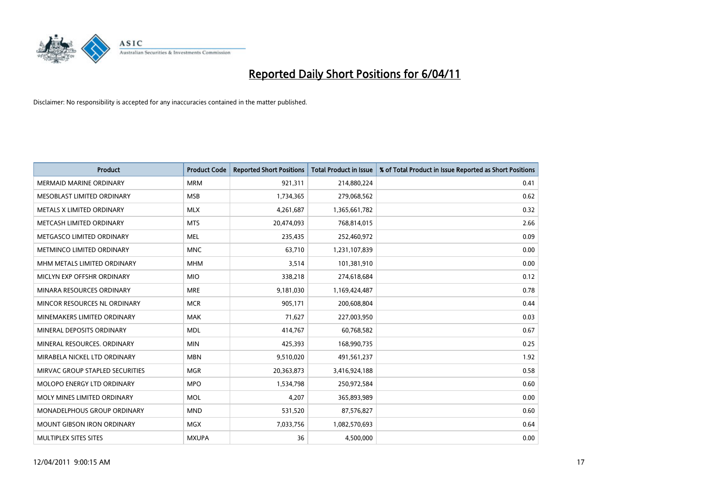

| <b>Product</b>                    | <b>Product Code</b> | <b>Reported Short Positions</b> | Total Product in Issue | % of Total Product in Issue Reported as Short Positions |
|-----------------------------------|---------------------|---------------------------------|------------------------|---------------------------------------------------------|
| <b>MERMAID MARINE ORDINARY</b>    | <b>MRM</b>          | 921,311                         | 214,880,224            | 0.41                                                    |
| MESOBLAST LIMITED ORDINARY        | <b>MSB</b>          | 1,734,365                       | 279,068,562            | 0.62                                                    |
| METALS X LIMITED ORDINARY         | <b>MLX</b>          | 4,261,687                       | 1,365,661,782          | 0.32                                                    |
| METCASH LIMITED ORDINARY          | <b>MTS</b>          | 20,474,093                      | 768,814,015            | 2.66                                                    |
| METGASCO LIMITED ORDINARY         | <b>MEL</b>          | 235,435                         | 252,460,972            | 0.09                                                    |
| METMINCO LIMITED ORDINARY         | <b>MNC</b>          | 63,710                          | 1,231,107,839          | 0.00                                                    |
| MHM METALS LIMITED ORDINARY       | <b>MHM</b>          | 3.514                           | 101,381,910            | 0.00                                                    |
| MICLYN EXP OFFSHR ORDINARY        | <b>MIO</b>          | 338,218                         | 274,618,684            | 0.12                                                    |
| MINARA RESOURCES ORDINARY         | <b>MRE</b>          | 9,181,030                       | 1,169,424,487          | 0.78                                                    |
| MINCOR RESOURCES NL ORDINARY      | <b>MCR</b>          | 905,171                         | 200,608,804            | 0.44                                                    |
| MINEMAKERS LIMITED ORDINARY       | <b>MAK</b>          | 71,627                          | 227,003,950            | 0.03                                                    |
| MINERAL DEPOSITS ORDINARY         | <b>MDL</b>          | 414,767                         | 60,768,582             | 0.67                                                    |
| MINERAL RESOURCES, ORDINARY       | <b>MIN</b>          | 425,393                         | 168,990,735            | 0.25                                                    |
| MIRABELA NICKEL LTD ORDINARY      | <b>MBN</b>          | 9,510,020                       | 491,561,237            | 1.92                                                    |
| MIRVAC GROUP STAPLED SECURITIES   | <b>MGR</b>          | 20,363,873                      | 3,416,924,188          | 0.58                                                    |
| MOLOPO ENERGY LTD ORDINARY        | <b>MPO</b>          | 1,534,798                       | 250,972,584            | 0.60                                                    |
| MOLY MINES LIMITED ORDINARY       | <b>MOL</b>          | 4,207                           | 365,893,989            | 0.00                                                    |
| MONADELPHOUS GROUP ORDINARY       | <b>MND</b>          | 531,520                         | 87,576,827             | 0.60                                                    |
| <b>MOUNT GIBSON IRON ORDINARY</b> | <b>MGX</b>          | 7,033,756                       | 1,082,570,693          | 0.64                                                    |
| <b>MULTIPLEX SITES SITES</b>      | <b>MXUPA</b>        | 36                              | 4,500,000              | 0.00                                                    |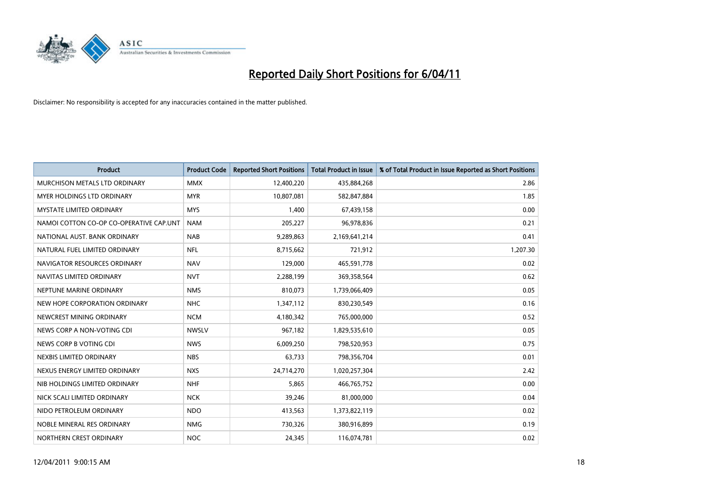

| Product                                 | <b>Product Code</b> | <b>Reported Short Positions</b> | <b>Total Product in Issue</b> | % of Total Product in Issue Reported as Short Positions |
|-----------------------------------------|---------------------|---------------------------------|-------------------------------|---------------------------------------------------------|
| MURCHISON METALS LTD ORDINARY           | <b>MMX</b>          | 12,400,220                      | 435,884,268                   | 2.86                                                    |
| MYER HOLDINGS LTD ORDINARY              | <b>MYR</b>          | 10,807,081                      | 582,847,884                   | 1.85                                                    |
| <b>MYSTATE LIMITED ORDINARY</b>         | <b>MYS</b>          | 1,400                           | 67,439,158                    | 0.00                                                    |
| NAMOI COTTON CO-OP CO-OPERATIVE CAP.UNT | <b>NAM</b>          | 205,227                         | 96,978,836                    | 0.21                                                    |
| NATIONAL AUST. BANK ORDINARY            | <b>NAB</b>          | 9,289,863                       | 2,169,641,214                 | 0.41                                                    |
| NATURAL FUEL LIMITED ORDINARY           | <b>NFL</b>          | 8,715,662                       | 721,912                       | 1,207.30                                                |
| NAVIGATOR RESOURCES ORDINARY            | <b>NAV</b>          | 129,000                         | 465,591,778                   | 0.02                                                    |
| NAVITAS LIMITED ORDINARY                | <b>NVT</b>          | 2,288,199                       | 369,358,564                   | 0.62                                                    |
| NEPTUNE MARINE ORDINARY                 | <b>NMS</b>          | 810,073                         | 1,739,066,409                 | 0.05                                                    |
| NEW HOPE CORPORATION ORDINARY           | <b>NHC</b>          | 1,347,112                       | 830,230,549                   | 0.16                                                    |
| NEWCREST MINING ORDINARY                | <b>NCM</b>          | 4,180,342                       | 765,000,000                   | 0.52                                                    |
| NEWS CORP A NON-VOTING CDI              | <b>NWSLV</b>        | 967,182                         | 1,829,535,610                 | 0.05                                                    |
| NEWS CORP B VOTING CDI                  | <b>NWS</b>          | 6,009,250                       | 798,520,953                   | 0.75                                                    |
| NEXBIS LIMITED ORDINARY                 | <b>NBS</b>          | 63,733                          | 798,356,704                   | 0.01                                                    |
| NEXUS ENERGY LIMITED ORDINARY           | <b>NXS</b>          | 24,714,270                      | 1,020,257,304                 | 2.42                                                    |
| NIB HOLDINGS LIMITED ORDINARY           | <b>NHF</b>          | 5,865                           | 466,765,752                   | 0.00                                                    |
| NICK SCALI LIMITED ORDINARY             | <b>NCK</b>          | 39,246                          | 81,000,000                    | 0.04                                                    |
| NIDO PETROLEUM ORDINARY                 | <b>NDO</b>          | 413,563                         | 1,373,822,119                 | 0.02                                                    |
| NOBLE MINERAL RES ORDINARY              | <b>NMG</b>          | 730,326                         | 380,916,899                   | 0.19                                                    |
| NORTHERN CREST ORDINARY                 | <b>NOC</b>          | 24,345                          | 116,074,781                   | 0.02                                                    |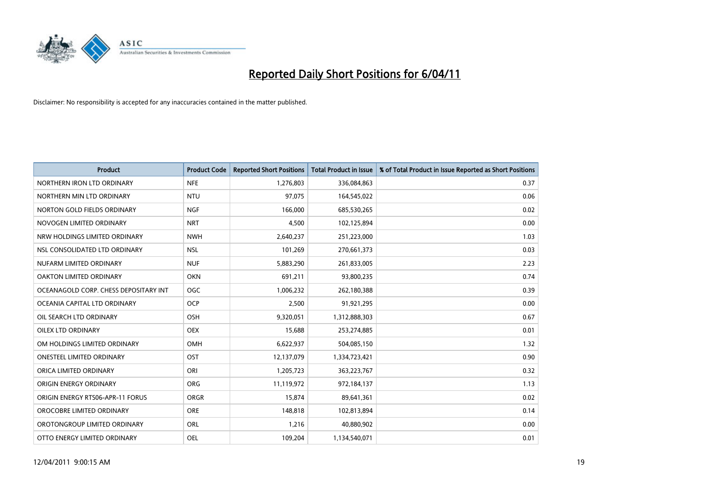

| <b>Product</b>                        | <b>Product Code</b> | <b>Reported Short Positions</b> | <b>Total Product in Issue</b> | % of Total Product in Issue Reported as Short Positions |
|---------------------------------------|---------------------|---------------------------------|-------------------------------|---------------------------------------------------------|
| NORTHERN IRON LTD ORDINARY            | <b>NFE</b>          | 1,276,803                       | 336,084,863                   | 0.37                                                    |
| NORTHERN MIN LTD ORDINARY             | <b>NTU</b>          | 97,075                          | 164,545,022                   | 0.06                                                    |
| NORTON GOLD FIELDS ORDINARY           | <b>NGF</b>          | 166,000                         | 685,530,265                   | 0.02                                                    |
| NOVOGEN LIMITED ORDINARY              | <b>NRT</b>          | 4,500                           | 102,125,894                   | 0.00                                                    |
| NRW HOLDINGS LIMITED ORDINARY         | <b>NWH</b>          | 2,640,237                       | 251,223,000                   | 1.03                                                    |
| NSL CONSOLIDATED LTD ORDINARY         | <b>NSL</b>          | 101,269                         | 270,661,373                   | 0.03                                                    |
| NUFARM LIMITED ORDINARY               | <b>NUF</b>          | 5,883,290                       | 261,833,005                   | 2.23                                                    |
| OAKTON LIMITED ORDINARY               | <b>OKN</b>          | 691,211                         | 93,800,235                    | 0.74                                                    |
| OCEANAGOLD CORP. CHESS DEPOSITARY INT | <b>OGC</b>          | 1,006,232                       | 262,180,388                   | 0.39                                                    |
| OCEANIA CAPITAL LTD ORDINARY          | <b>OCP</b>          | 2,500                           | 91,921,295                    | 0.00                                                    |
| OIL SEARCH LTD ORDINARY               | OSH                 | 9,320,051                       | 1,312,888,303                 | 0.67                                                    |
| OILEX LTD ORDINARY                    | <b>OEX</b>          | 15,688                          | 253,274,885                   | 0.01                                                    |
| OM HOLDINGS LIMITED ORDINARY          | <b>OMH</b>          | 6,622,937                       | 504,085,150                   | 1.32                                                    |
| <b>ONESTEEL LIMITED ORDINARY</b>      | OST                 | 12,137,079                      | 1,334,723,421                 | 0.90                                                    |
| ORICA LIMITED ORDINARY                | ORI                 | 1,205,723                       | 363,223,767                   | 0.32                                                    |
| ORIGIN ENERGY ORDINARY                | <b>ORG</b>          | 11,119,972                      | 972,184,137                   | 1.13                                                    |
| ORIGIN ENERGY RTS06-APR-11 FORUS      | ORGR                | 15,874                          | 89,641,361                    | 0.02                                                    |
| OROCOBRE LIMITED ORDINARY             | <b>ORE</b>          | 148,818                         | 102,813,894                   | 0.14                                                    |
| OROTONGROUP LIMITED ORDINARY          | <b>ORL</b>          | 1,216                           | 40,880,902                    | 0.00                                                    |
| OTTO ENERGY LIMITED ORDINARY          | <b>OEL</b>          | 109,204                         | 1,134,540,071                 | 0.01                                                    |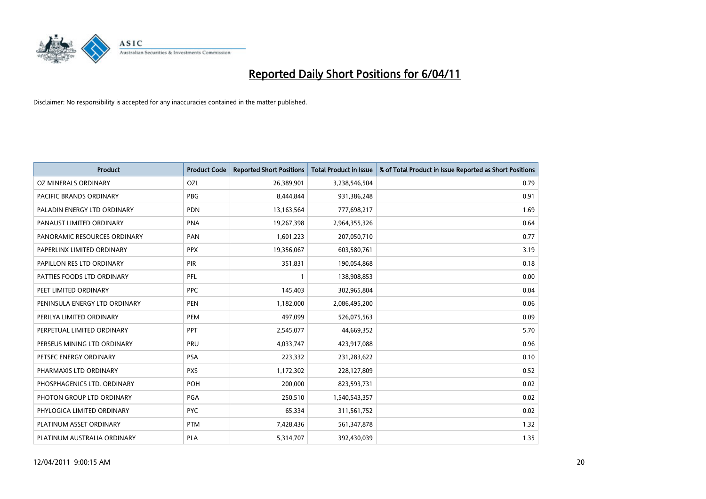

| <b>Product</b>                | <b>Product Code</b> | <b>Reported Short Positions</b> | <b>Total Product in Issue</b> | % of Total Product in Issue Reported as Short Positions |
|-------------------------------|---------------------|---------------------------------|-------------------------------|---------------------------------------------------------|
| OZ MINERALS ORDINARY          | OZL                 | 26,389,901                      | 3,238,546,504                 | 0.79                                                    |
| PACIFIC BRANDS ORDINARY       | <b>PBG</b>          | 8,444,844                       | 931,386,248                   | 0.91                                                    |
| PALADIN ENERGY LTD ORDINARY   | <b>PDN</b>          | 13,163,564                      | 777,698,217                   | 1.69                                                    |
| PANAUST LIMITED ORDINARY      | <b>PNA</b>          | 19,267,398                      | 2,964,355,326                 | 0.64                                                    |
| PANORAMIC RESOURCES ORDINARY  | PAN                 | 1,601,223                       | 207,050,710                   | 0.77                                                    |
| PAPERLINX LIMITED ORDINARY    | <b>PPX</b>          | 19,356,067                      | 603,580,761                   | 3.19                                                    |
| PAPILLON RES LTD ORDINARY     | <b>PIR</b>          | 351,831                         | 190,054,868                   | 0.18                                                    |
| PATTIES FOODS LTD ORDINARY    | PFL                 |                                 | 138,908,853                   | 0.00                                                    |
| PEET LIMITED ORDINARY         | <b>PPC</b>          | 145,403                         | 302,965,804                   | 0.04                                                    |
| PENINSULA ENERGY LTD ORDINARY | <b>PEN</b>          | 1,182,000                       | 2,086,495,200                 | 0.06                                                    |
| PERILYA LIMITED ORDINARY      | PEM                 | 497,099                         | 526,075,563                   | 0.09                                                    |
| PERPETUAL LIMITED ORDINARY    | PPT                 | 2,545,077                       | 44,669,352                    | 5.70                                                    |
| PERSEUS MINING LTD ORDINARY   | PRU                 | 4,033,747                       | 423,917,088                   | 0.96                                                    |
| PETSEC ENERGY ORDINARY        | <b>PSA</b>          | 223,332                         | 231,283,622                   | 0.10                                                    |
| PHARMAXIS LTD ORDINARY        | <b>PXS</b>          | 1,172,302                       | 228,127,809                   | 0.52                                                    |
| PHOSPHAGENICS LTD. ORDINARY   | POH                 | 200,000                         | 823,593,731                   | 0.02                                                    |
| PHOTON GROUP LTD ORDINARY     | PGA                 | 250,510                         | 1,540,543,357                 | 0.02                                                    |
| PHYLOGICA LIMITED ORDINARY    | <b>PYC</b>          | 65,334                          | 311,561,752                   | 0.02                                                    |
| PLATINUM ASSET ORDINARY       | <b>PTM</b>          | 7,428,436                       | 561,347,878                   | 1.32                                                    |
| PLATINUM AUSTRALIA ORDINARY   | PLA                 | 5,314,707                       | 392,430,039                   | 1.35                                                    |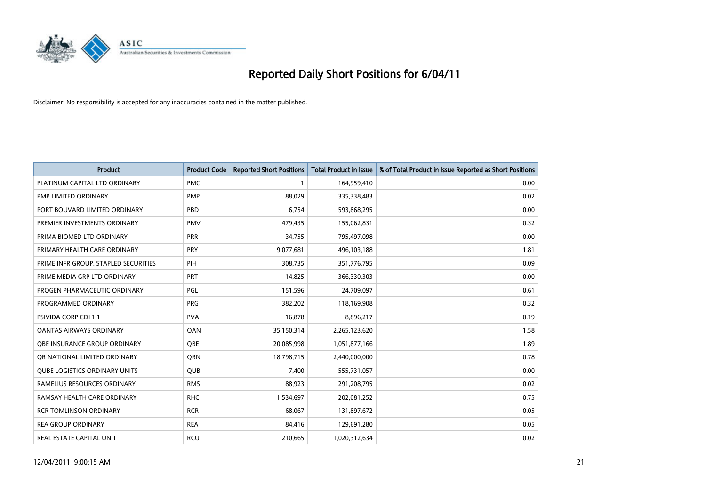

| Product                              | <b>Product Code</b> | <b>Reported Short Positions</b> | <b>Total Product in Issue</b> | % of Total Product in Issue Reported as Short Positions |
|--------------------------------------|---------------------|---------------------------------|-------------------------------|---------------------------------------------------------|
| PLATINUM CAPITAL LTD ORDINARY        | <b>PMC</b>          |                                 | 164,959,410                   | 0.00                                                    |
| PMP LIMITED ORDINARY                 | <b>PMP</b>          | 88,029                          | 335,338,483                   | 0.02                                                    |
| PORT BOUVARD LIMITED ORDINARY        | PBD                 | 6,754                           | 593,868,295                   | 0.00                                                    |
| PREMIER INVESTMENTS ORDINARY         | <b>PMV</b>          | 479,435                         | 155,062,831                   | 0.32                                                    |
| PRIMA BIOMED LTD ORDINARY            | PRR                 | 34,755                          | 795,497,098                   | 0.00                                                    |
| PRIMARY HEALTH CARE ORDINARY         | <b>PRY</b>          | 9,077,681                       | 496,103,188                   | 1.81                                                    |
| PRIME INFR GROUP. STAPLED SECURITIES | PIH                 | 308,735                         | 351,776,795                   | 0.09                                                    |
| PRIME MEDIA GRP LTD ORDINARY         | <b>PRT</b>          | 14,825                          | 366,330,303                   | 0.00                                                    |
| PROGEN PHARMACEUTIC ORDINARY         | PGL                 | 151,596                         | 24,709,097                    | 0.61                                                    |
| PROGRAMMED ORDINARY                  | <b>PRG</b>          | 382,202                         | 118,169,908                   | 0.32                                                    |
| <b>PSIVIDA CORP CDI 1:1</b>          | <b>PVA</b>          | 16,878                          | 8,896,217                     | 0.19                                                    |
| <b>QANTAS AIRWAYS ORDINARY</b>       | QAN                 | 35,150,314                      | 2,265,123,620                 | 1.58                                                    |
| OBE INSURANCE GROUP ORDINARY         | <b>OBE</b>          | 20,085,998                      | 1,051,877,166                 | 1.89                                                    |
| OR NATIONAL LIMITED ORDINARY         | <b>ORN</b>          | 18,798,715                      | 2,440,000,000                 | 0.78                                                    |
| <b>QUBE LOGISTICS ORDINARY UNITS</b> | <b>QUB</b>          | 7,400                           | 555,731,057                   | 0.00                                                    |
| RAMELIUS RESOURCES ORDINARY          | <b>RMS</b>          | 88,923                          | 291,208,795                   | 0.02                                                    |
| RAMSAY HEALTH CARE ORDINARY          | <b>RHC</b>          | 1,534,697                       | 202,081,252                   | 0.75                                                    |
| <b>RCR TOMLINSON ORDINARY</b>        | <b>RCR</b>          | 68,067                          | 131,897,672                   | 0.05                                                    |
| <b>REA GROUP ORDINARY</b>            | <b>REA</b>          | 84,416                          | 129,691,280                   | 0.05                                                    |
| REAL ESTATE CAPITAL UNIT             | <b>RCU</b>          | 210,665                         | 1,020,312,634                 | 0.02                                                    |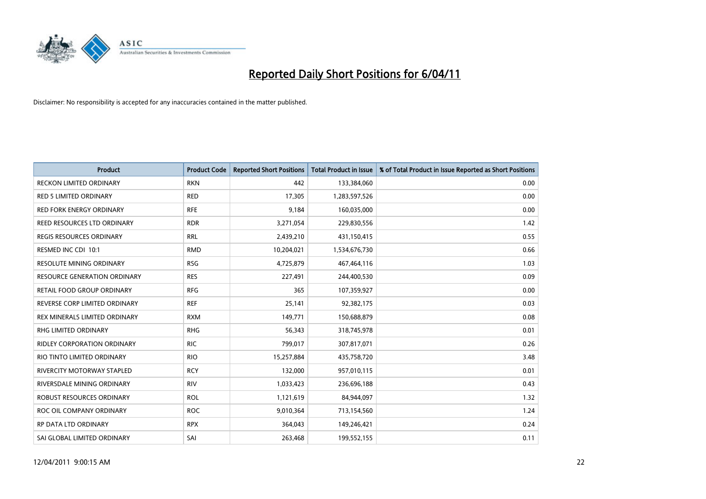

| Product                             | <b>Product Code</b> | <b>Reported Short Positions</b> | Total Product in Issue | % of Total Product in Issue Reported as Short Positions |
|-------------------------------------|---------------------|---------------------------------|------------------------|---------------------------------------------------------|
| <b>RECKON LIMITED ORDINARY</b>      | <b>RKN</b>          | 442                             | 133,384,060            | 0.00                                                    |
| RED 5 LIMITED ORDINARY              | <b>RED</b>          | 17,305                          | 1,283,597,526          | 0.00                                                    |
| <b>RED FORK ENERGY ORDINARY</b>     | <b>RFE</b>          | 9,184                           | 160,035,000            | 0.00                                                    |
| REED RESOURCES LTD ORDINARY         | <b>RDR</b>          | 3,271,054                       | 229,830,556            | 1.42                                                    |
| <b>REGIS RESOURCES ORDINARY</b>     | <b>RRL</b>          | 2,439,210                       | 431,150,415            | 0.55                                                    |
| RESMED INC CDI 10:1                 | <b>RMD</b>          | 10,204,021                      | 1,534,676,730          | 0.66                                                    |
| <b>RESOLUTE MINING ORDINARY</b>     | <b>RSG</b>          | 4,725,879                       | 467,464,116            | 1.03                                                    |
| <b>RESOURCE GENERATION ORDINARY</b> | <b>RES</b>          | 227,491                         | 244,400,530            | 0.09                                                    |
| RETAIL FOOD GROUP ORDINARY          | <b>RFG</b>          | 365                             | 107,359,927            | 0.00                                                    |
| REVERSE CORP LIMITED ORDINARY       | <b>REF</b>          | 25,141                          | 92,382,175             | 0.03                                                    |
| REX MINERALS LIMITED ORDINARY       | <b>RXM</b>          | 149,771                         | 150,688,879            | 0.08                                                    |
| RHG LIMITED ORDINARY                | <b>RHG</b>          | 56,343                          | 318,745,978            | 0.01                                                    |
| <b>RIDLEY CORPORATION ORDINARY</b>  | <b>RIC</b>          | 799,017                         | 307,817,071            | 0.26                                                    |
| RIO TINTO LIMITED ORDINARY          | <b>RIO</b>          | 15,257,884                      | 435,758,720            | 3.48                                                    |
| RIVERCITY MOTORWAY STAPLED          | <b>RCY</b>          | 132,000                         | 957,010,115            | 0.01                                                    |
| RIVERSDALE MINING ORDINARY          | <b>RIV</b>          | 1,033,423                       | 236,696,188            | 0.43                                                    |
| <b>ROBUST RESOURCES ORDINARY</b>    | <b>ROL</b>          | 1,121,619                       | 84,944,097             | 1.32                                                    |
| ROC OIL COMPANY ORDINARY            | <b>ROC</b>          | 9,010,364                       | 713,154,560            | 1.24                                                    |
| RP DATA LTD ORDINARY                | <b>RPX</b>          | 364,043                         | 149,246,421            | 0.24                                                    |
| SAI GLOBAL LIMITED ORDINARY         | SAI                 | 263,468                         | 199,552,155            | 0.11                                                    |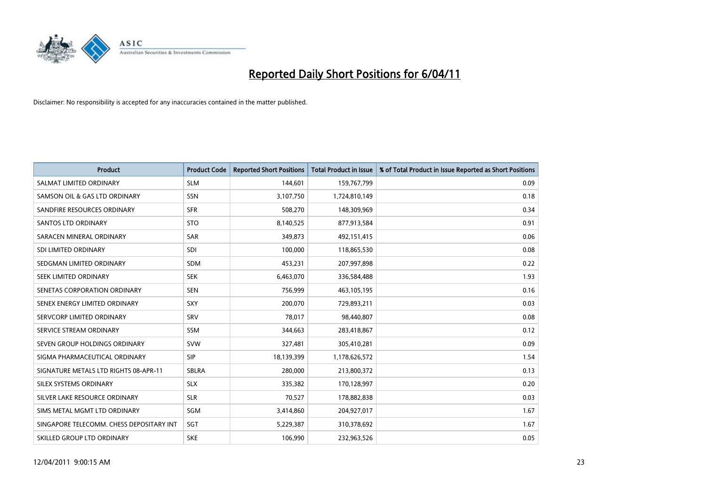

| <b>Product</b>                           | <b>Product Code</b> | <b>Reported Short Positions</b> | Total Product in Issue | % of Total Product in Issue Reported as Short Positions |
|------------------------------------------|---------------------|---------------------------------|------------------------|---------------------------------------------------------|
| SALMAT LIMITED ORDINARY                  | <b>SLM</b>          | 144,601                         | 159,767,799            | 0.09                                                    |
| SAMSON OIL & GAS LTD ORDINARY            | SSN                 | 3,107,750                       | 1,724,810,149          | 0.18                                                    |
| SANDFIRE RESOURCES ORDINARY              | <b>SFR</b>          | 508,270                         | 148,309,969            | 0.34                                                    |
| <b>SANTOS LTD ORDINARY</b>               | <b>STO</b>          | 8,140,525                       | 877,913,584            | 0.91                                                    |
| SARACEN MINERAL ORDINARY                 | <b>SAR</b>          | 349,873                         | 492,151,415            | 0.06                                                    |
| SDI LIMITED ORDINARY                     | <b>SDI</b>          | 100,000                         | 118,865,530            | 0.08                                                    |
| SEDGMAN LIMITED ORDINARY                 | <b>SDM</b>          | 453,231                         | 207,997,898            | 0.22                                                    |
| SEEK LIMITED ORDINARY                    | <b>SEK</b>          | 6,463,070                       | 336,584,488            | 1.93                                                    |
| SENETAS CORPORATION ORDINARY             | <b>SEN</b>          | 756,999                         | 463,105,195            | 0.16                                                    |
| SENEX ENERGY LIMITED ORDINARY            | <b>SXY</b>          | 200,070                         | 729,893,211            | 0.03                                                    |
| SERVCORP LIMITED ORDINARY                | SRV                 | 78,017                          | 98,440,807             | 0.08                                                    |
| SERVICE STREAM ORDINARY                  | <b>SSM</b>          | 344,663                         | 283,418,867            | 0.12                                                    |
| SEVEN GROUP HOLDINGS ORDINARY            | <b>SVW</b>          | 327,481                         | 305,410,281            | 0.09                                                    |
| SIGMA PHARMACEUTICAL ORDINARY            | <b>SIP</b>          | 18,139,399                      | 1,178,626,572          | 1.54                                                    |
| SIGNATURE METALS LTD RIGHTS 08-APR-11    | SBLRA               | 280,000                         | 213,800,372            | 0.13                                                    |
| SILEX SYSTEMS ORDINARY                   | <b>SLX</b>          | 335,382                         | 170,128,997            | 0.20                                                    |
| SILVER LAKE RESOURCE ORDINARY            | <b>SLR</b>          | 70,527                          | 178,882,838            | 0.03                                                    |
| SIMS METAL MGMT LTD ORDINARY             | <b>SGM</b>          | 3,414,860                       | 204,927,017            | 1.67                                                    |
| SINGAPORE TELECOMM. CHESS DEPOSITARY INT | SGT                 | 5,229,387                       | 310,378,692            | 1.67                                                    |
| SKILLED GROUP LTD ORDINARY               | <b>SKE</b>          | 106,990                         | 232,963,526            | 0.05                                                    |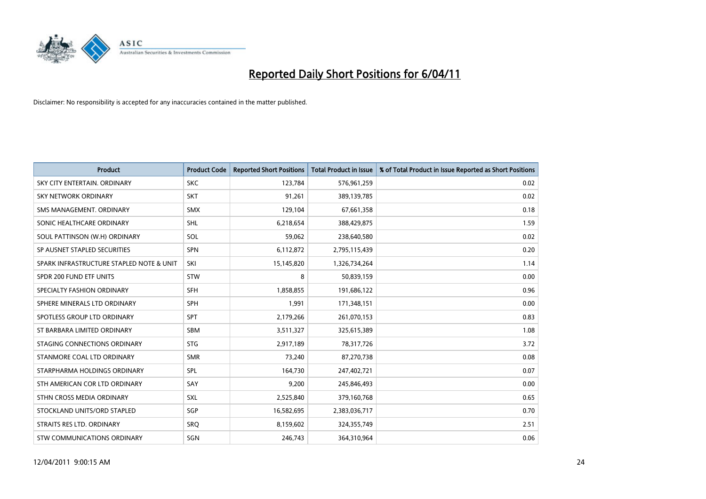

| <b>Product</b>                           | <b>Product Code</b> | <b>Reported Short Positions</b> | <b>Total Product in Issue</b> | % of Total Product in Issue Reported as Short Positions |
|------------------------------------------|---------------------|---------------------------------|-------------------------------|---------------------------------------------------------|
| SKY CITY ENTERTAIN, ORDINARY             | <b>SKC</b>          | 123,784                         | 576,961,259                   | 0.02                                                    |
| SKY NETWORK ORDINARY                     | <b>SKT</b>          | 91,261                          | 389,139,785                   | 0.02                                                    |
| SMS MANAGEMENT, ORDINARY                 | <b>SMX</b>          | 129,104                         | 67,661,358                    | 0.18                                                    |
| SONIC HEALTHCARE ORDINARY                | SHL                 | 6,218,654                       | 388,429,875                   | 1.59                                                    |
| SOUL PATTINSON (W.H) ORDINARY            | SOL                 | 59,062                          | 238,640,580                   | 0.02                                                    |
| SP AUSNET STAPLED SECURITIES             | <b>SPN</b>          | 6,112,872                       | 2,795,115,439                 | 0.20                                                    |
| SPARK INFRASTRUCTURE STAPLED NOTE & UNIT | SKI                 | 15,145,820                      | 1,326,734,264                 | 1.14                                                    |
| SPDR 200 FUND ETF UNITS                  | <b>STW</b>          | 8                               | 50,839,159                    | 0.00                                                    |
| SPECIALTY FASHION ORDINARY               | SFH                 | 1,858,855                       | 191,686,122                   | 0.96                                                    |
| SPHERE MINERALS LTD ORDINARY             | <b>SPH</b>          | 1.991                           | 171,348,151                   | 0.00                                                    |
| SPOTLESS GROUP LTD ORDINARY              | <b>SPT</b>          | 2,179,266                       | 261,070,153                   | 0.83                                                    |
| ST BARBARA LIMITED ORDINARY              | SBM                 | 3,511,327                       | 325,615,389                   | 1.08                                                    |
| STAGING CONNECTIONS ORDINARY             | <b>STG</b>          | 2,917,189                       | 78,317,726                    | 3.72                                                    |
| STANMORE COAL LTD ORDINARY               | <b>SMR</b>          | 73,240                          | 87,270,738                    | 0.08                                                    |
| STARPHARMA HOLDINGS ORDINARY             | SPL                 | 164,730                         | 247,402,721                   | 0.07                                                    |
| STH AMERICAN COR LTD ORDINARY            | SAY                 | 9.200                           | 245,846,493                   | 0.00                                                    |
| STHN CROSS MEDIA ORDINARY                | SXL                 | 2,525,840                       | 379,160,768                   | 0.65                                                    |
| STOCKLAND UNITS/ORD STAPLED              | SGP                 | 16,582,695                      | 2,383,036,717                 | 0.70                                                    |
| STRAITS RES LTD. ORDINARY                | SRO                 | 8,159,602                       | 324,355,749                   | 2.51                                                    |
| STW COMMUNICATIONS ORDINARY              | SGN                 | 246,743                         | 364,310,964                   | 0.06                                                    |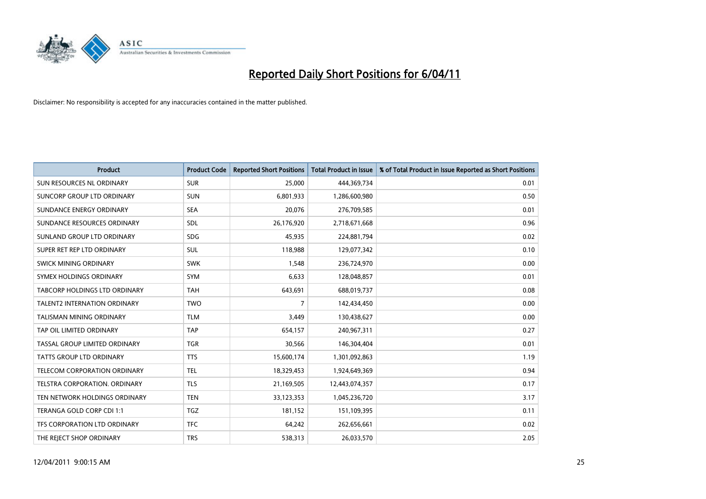

| <b>Product</b>                      | <b>Product Code</b> | <b>Reported Short Positions</b> | <b>Total Product in Issue</b> | % of Total Product in Issue Reported as Short Positions |
|-------------------------------------|---------------------|---------------------------------|-------------------------------|---------------------------------------------------------|
| SUN RESOURCES NL ORDINARY           | <b>SUR</b>          | 25,000                          | 444,369,734                   | 0.01                                                    |
| SUNCORP GROUP LTD ORDINARY          | <b>SUN</b>          | 6,801,933                       | 1,286,600,980                 | 0.50                                                    |
| SUNDANCE ENERGY ORDINARY            | <b>SEA</b>          | 20,076                          | 276,709,585                   | 0.01                                                    |
| SUNDANCE RESOURCES ORDINARY         | <b>SDL</b>          | 26,176,920                      | 2,718,671,668                 | 0.96                                                    |
| SUNLAND GROUP LTD ORDINARY          | <b>SDG</b>          | 45,935                          | 224,881,794                   | 0.02                                                    |
| SUPER RET REP LTD ORDINARY          | <b>SUL</b>          | 118,988                         | 129,077,342                   | 0.10                                                    |
| SWICK MINING ORDINARY               | <b>SWK</b>          | 1,548                           | 236,724,970                   | 0.00                                                    |
| SYMEX HOLDINGS ORDINARY             | <b>SYM</b>          | 6,633                           | 128,048,857                   | 0.01                                                    |
| TABCORP HOLDINGS LTD ORDINARY       | <b>TAH</b>          | 643,691                         | 688,019,737                   | 0.08                                                    |
| <b>TALENT2 INTERNATION ORDINARY</b> | <b>TWO</b>          | $\overline{7}$                  | 142,434,450                   | 0.00                                                    |
| <b>TALISMAN MINING ORDINARY</b>     | <b>TLM</b>          | 3,449                           | 130,438,627                   | 0.00                                                    |
| TAP OIL LIMITED ORDINARY            | <b>TAP</b>          | 654,157                         | 240,967,311                   | 0.27                                                    |
| TASSAL GROUP LIMITED ORDINARY       | <b>TGR</b>          | 30,566                          | 146,304,404                   | 0.01                                                    |
| <b>TATTS GROUP LTD ORDINARY</b>     | <b>TTS</b>          | 15,600,174                      | 1,301,092,863                 | 1.19                                                    |
| <b>TELECOM CORPORATION ORDINARY</b> | <b>TEL</b>          | 18,329,453                      | 1,924,649,369                 | 0.94                                                    |
| TELSTRA CORPORATION, ORDINARY       | <b>TLS</b>          | 21,169,505                      | 12,443,074,357                | 0.17                                                    |
| TEN NETWORK HOLDINGS ORDINARY       | <b>TEN</b>          | 33,123,353                      | 1,045,236,720                 | 3.17                                                    |
| TERANGA GOLD CORP CDI 1:1           | <b>TGZ</b>          | 181,152                         | 151,109,395                   | 0.11                                                    |
| TFS CORPORATION LTD ORDINARY        | <b>TFC</b>          | 64,242                          | 262,656,661                   | 0.02                                                    |
| THE REJECT SHOP ORDINARY            | <b>TRS</b>          | 538,313                         | 26,033,570                    | 2.05                                                    |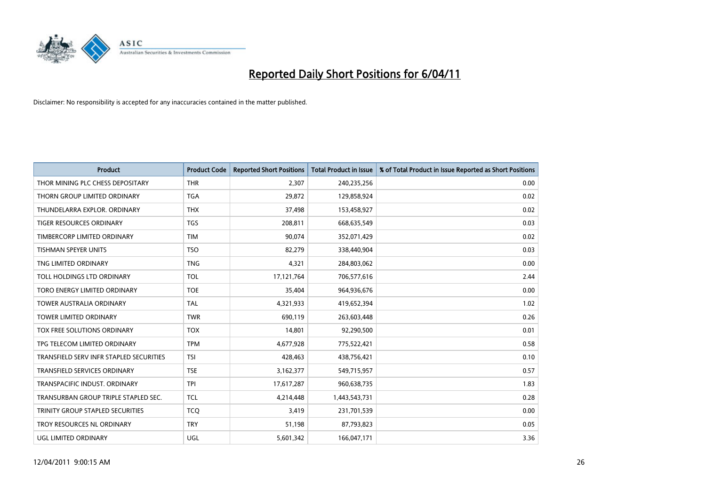

| <b>Product</b>                          | <b>Product Code</b> | <b>Reported Short Positions</b> | <b>Total Product in Issue</b> | % of Total Product in Issue Reported as Short Positions |
|-----------------------------------------|---------------------|---------------------------------|-------------------------------|---------------------------------------------------------|
| THOR MINING PLC CHESS DEPOSITARY        | <b>THR</b>          | 2,307                           | 240,235,256                   | 0.00                                                    |
| THORN GROUP LIMITED ORDINARY            | <b>TGA</b>          | 29,872                          | 129,858,924                   | 0.02                                                    |
| THUNDELARRA EXPLOR, ORDINARY            | <b>THX</b>          | 37,498                          | 153,458,927                   | 0.02                                                    |
| TIGER RESOURCES ORDINARY                | <b>TGS</b>          | 208,811                         | 668,635,549                   | 0.03                                                    |
| TIMBERCORP LIMITED ORDINARY             | <b>TIM</b>          | 90.074                          | 352,071,429                   | 0.02                                                    |
| <b>TISHMAN SPEYER UNITS</b>             | <b>TSO</b>          | 82,279                          | 338,440,904                   | 0.03                                                    |
| TNG LIMITED ORDINARY                    | <b>TNG</b>          | 4,321                           | 284,803,062                   | 0.00                                                    |
| TOLL HOLDINGS LTD ORDINARY              | <b>TOL</b>          | 17,121,764                      | 706,577,616                   | 2.44                                                    |
| TORO ENERGY LIMITED ORDINARY            | <b>TOE</b>          | 35,404                          | 964,936,676                   | 0.00                                                    |
| <b>TOWER AUSTRALIA ORDINARY</b>         | <b>TAL</b>          | 4,321,933                       | 419,652,394                   | 1.02                                                    |
| <b>TOWER LIMITED ORDINARY</b>           | <b>TWR</b>          | 690,119                         | 263,603,448                   | 0.26                                                    |
| TOX FREE SOLUTIONS ORDINARY             | <b>TOX</b>          | 14,801                          | 92,290,500                    | 0.01                                                    |
| TPG TELECOM LIMITED ORDINARY            | <b>TPM</b>          | 4,677,928                       | 775,522,421                   | 0.58                                                    |
| TRANSFIELD SERV INFR STAPLED SECURITIES | <b>TSI</b>          | 428.463                         | 438,756,421                   | 0.10                                                    |
| <b>TRANSFIELD SERVICES ORDINARY</b>     | <b>TSE</b>          | 3,162,377                       | 549,715,957                   | 0.57                                                    |
| TRANSPACIFIC INDUST, ORDINARY           | <b>TPI</b>          | 17,617,287                      | 960,638,735                   | 1.83                                                    |
| TRANSURBAN GROUP TRIPLE STAPLED SEC.    | <b>TCL</b>          | 4,214,448                       | 1,443,543,731                 | 0.28                                                    |
| TRINITY GROUP STAPLED SECURITIES        | <b>TCO</b>          | 3,419                           | 231,701,539                   | 0.00                                                    |
| TROY RESOURCES NL ORDINARY              | <b>TRY</b>          | 51,198                          | 87,793,823                    | 0.05                                                    |
| UGL LIMITED ORDINARY                    | <b>UGL</b>          | 5,601,342                       | 166,047,171                   | 3.36                                                    |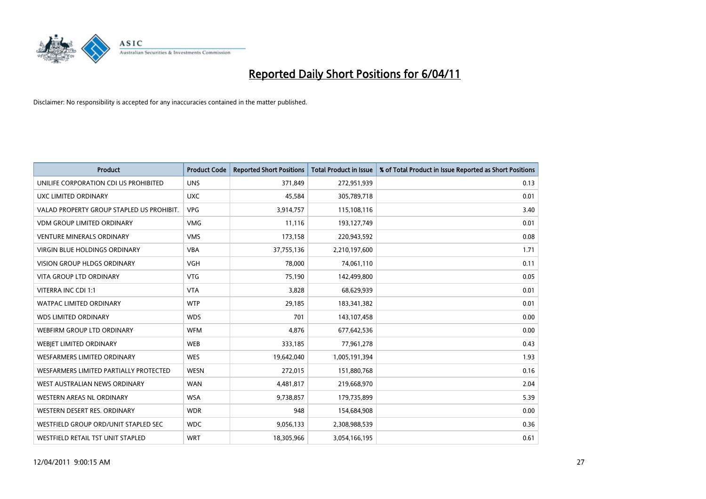

| Product                                   | <b>Product Code</b> | <b>Reported Short Positions</b> | <b>Total Product in Issue</b> | % of Total Product in Issue Reported as Short Positions |
|-------------------------------------------|---------------------|---------------------------------|-------------------------------|---------------------------------------------------------|
| UNILIFE CORPORATION CDI US PROHIBITED     | <b>UNS</b>          | 371,849                         | 272,951,939                   | 0.13                                                    |
| UXC LIMITED ORDINARY                      | <b>UXC</b>          | 45,584                          | 305,789,718                   | 0.01                                                    |
| VALAD PROPERTY GROUP STAPLED US PROHIBIT. | <b>VPG</b>          | 3,914,757                       | 115,108,116                   | 3.40                                                    |
| <b>VDM GROUP LIMITED ORDINARY</b>         | <b>VMG</b>          | 11,116                          | 193,127,749                   | 0.01                                                    |
| <b>VENTURE MINERALS ORDINARY</b>          | <b>VMS</b>          | 173,158                         | 220,943,592                   | 0.08                                                    |
| <b>VIRGIN BLUE HOLDINGS ORDINARY</b>      | <b>VBA</b>          | 37,755,136                      | 2,210,197,600                 | 1.71                                                    |
| <b>VISION GROUP HLDGS ORDINARY</b>        | <b>VGH</b>          | 78.000                          | 74,061,110                    | 0.11                                                    |
| <b>VITA GROUP LTD ORDINARY</b>            | <b>VTG</b>          | 75,190                          | 142,499,800                   | 0.05                                                    |
| VITERRA INC CDI 1:1                       | <b>VTA</b>          | 3,828                           | 68,629,939                    | 0.01                                                    |
| <b>WATPAC LIMITED ORDINARY</b>            | <b>WTP</b>          | 29,185                          | 183,341,382                   | 0.01                                                    |
| <b>WDS LIMITED ORDINARY</b>               | <b>WDS</b>          | 701                             | 143,107,458                   | 0.00                                                    |
| WEBFIRM GROUP LTD ORDINARY                | <b>WFM</b>          | 4,876                           | 677,642,536                   | 0.00                                                    |
| WEBIET LIMITED ORDINARY                   | <b>WEB</b>          | 333,185                         | 77,961,278                    | 0.43                                                    |
| <b>WESFARMERS LIMITED ORDINARY</b>        | <b>WES</b>          | 19,642,040                      | 1,005,191,394                 | 1.93                                                    |
| WESFARMERS LIMITED PARTIALLY PROTECTED    | <b>WESN</b>         | 272,015                         | 151,880,768                   | 0.16                                                    |
| WEST AUSTRALIAN NEWS ORDINARY             | <b>WAN</b>          | 4,481,817                       | 219,668,970                   | 2.04                                                    |
| WESTERN AREAS NL ORDINARY                 | <b>WSA</b>          | 9,738,857                       | 179,735,899                   | 5.39                                                    |
| WESTERN DESERT RES. ORDINARY              | <b>WDR</b>          | 948                             | 154,684,908                   | 0.00                                                    |
| WESTFIELD GROUP ORD/UNIT STAPLED SEC      | <b>WDC</b>          | 9,056,133                       | 2,308,988,539                 | 0.36                                                    |
| WESTFIELD RETAIL TST UNIT STAPLED         | <b>WRT</b>          | 18,305,966                      | 3,054,166,195                 | 0.61                                                    |